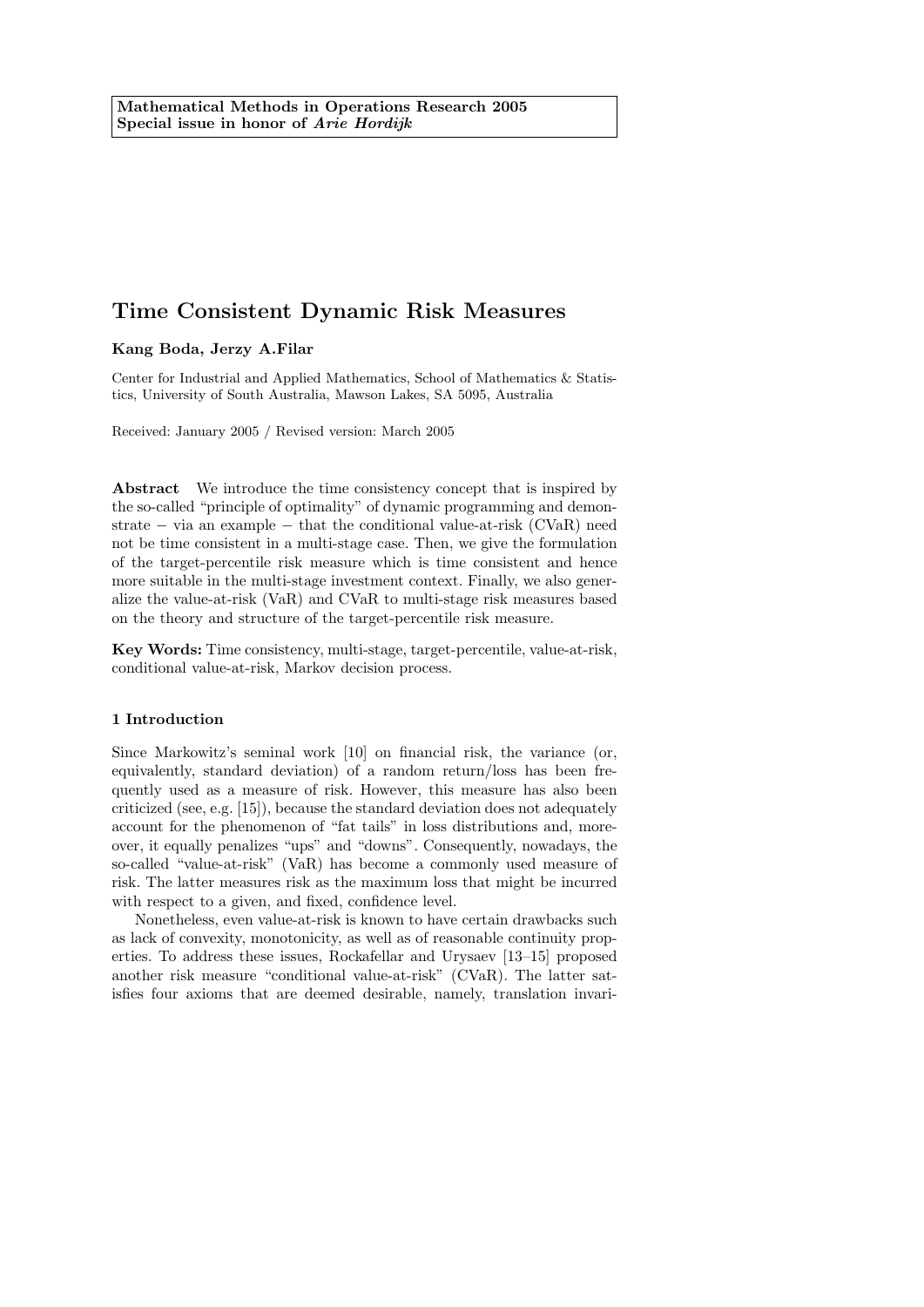## Kang Boda, Jerzy A.Filar

Center for Industrial and Applied Mathematics, School of Mathematics & Statistics, University of South Australia, Mawson Lakes, SA 5095, Australia

Received: January 2005 / Revised version: March 2005

Abstract We introduce the time consistency concept that is inspired by the so-called "principle of optimality" of dynamic programming and demonstrate − via an example − that the conditional value-at-risk (CVaR) need not be time consistent in a multi-stage case. Then, we give the formulation of the target-percentile risk measure which is time consistent and hence more suitable in the multi-stage investment context. Finally, we also generalize the value-at-risk (VaR) and CVaR to multi-stage risk measures based on the theory and structure of the target-percentile risk measure.

Key Words: Time consistency, multi-stage, target-percentile, value-at-risk, conditional value-at-risk, Markov decision process.

### 1 Introduction

Since Markowitz's seminal work [10] on financial risk, the variance (or, equivalently, standard deviation) of a random return/loss has been frequently used as a measure of risk. However, this measure has also been criticized (see, e.g. [15]), because the standard deviation does not adequately account for the phenomenon of "fat tails" in loss distributions and, moreover, it equally penalizes "ups" and "downs". Consequently, nowadays, the so-called "value-at-risk" (VaR) has become a commonly used measure of risk. The latter measures risk as the maximum loss that might be incurred with respect to a given, and fixed, confidence level.

Nonetheless, even value-at-risk is known to have certain drawbacks such as lack of convexity, monotonicity, as well as of reasonable continuity properties. To address these issues, Rockafellar and Urysaev [13–15] proposed another risk measure "conditional value-at-risk" (CVaR). The latter satisfies four axioms that are deemed desirable, namely, translation invari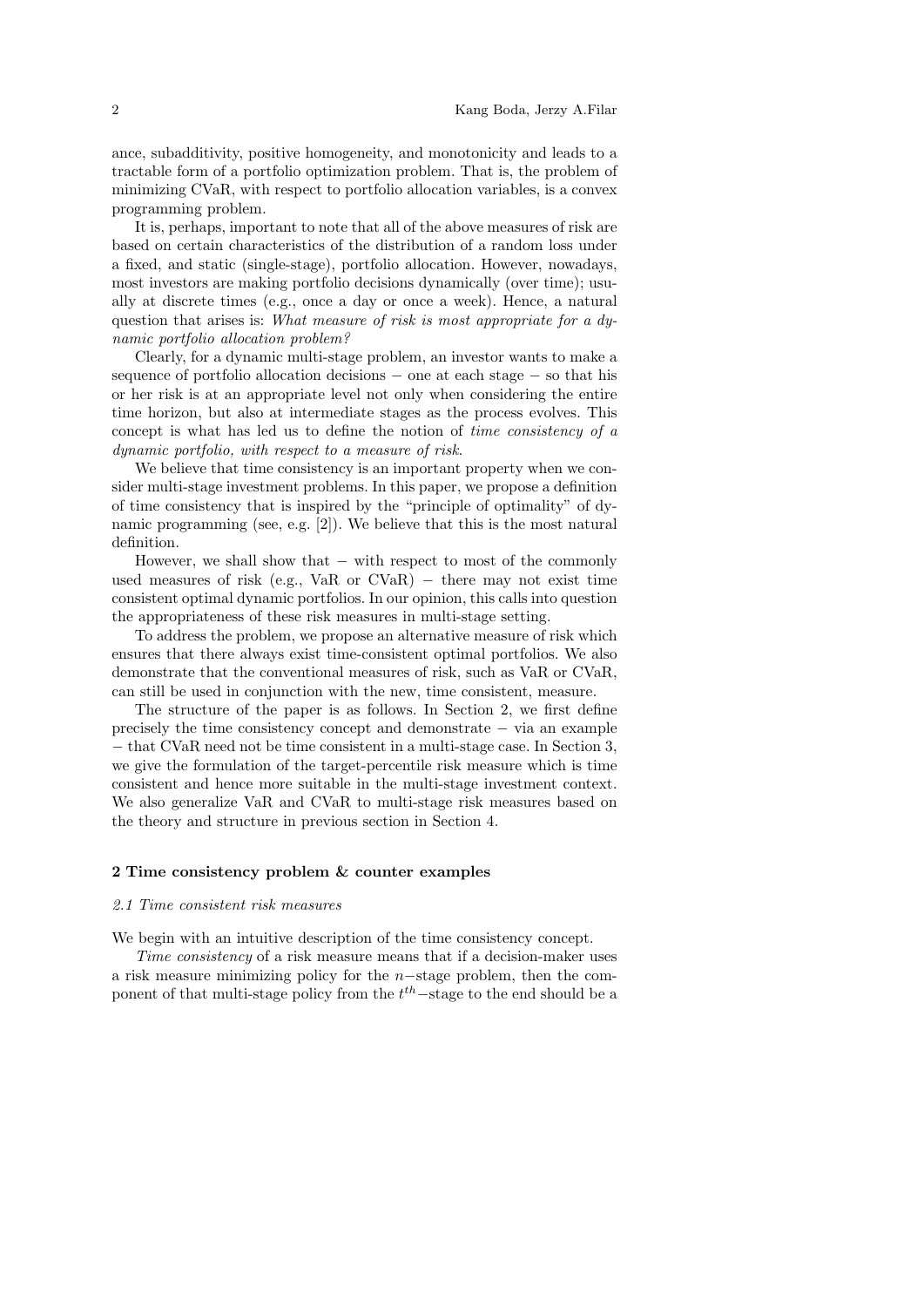ance, subadditivity, positive homogeneity, and monotonicity and leads to a tractable form of a portfolio optimization problem. That is, the problem of minimizing CVaR, with respect to portfolio allocation variables, is a convex programming problem.

It is, perhaps, important to note that all of the above measures of risk are based on certain characteristics of the distribution of a random loss under a fixed, and static (single-stage), portfolio allocation. However, nowadays, most investors are making portfolio decisions dynamically (over time); usually at discrete times (e.g., once a day or once a week). Hence, a natural question that arises is: What measure of risk is most appropriate for a dynamic portfolio allocation problem?

Clearly, for a dynamic multi-stage problem, an investor wants to make a sequence of portfolio allocation decisions – one at each stage – so that his or her risk is at an appropriate level not only when considering the entire time horizon, but also at intermediate stages as the process evolves. This concept is what has led us to define the notion of time consistency of a dynamic portfolio, with respect to a measure of risk.

We believe that time consistency is an important property when we consider multi-stage investment problems. In this paper, we propose a definition of time consistency that is inspired by the "principle of optimality" of dynamic programming (see, e.g. [2]). We believe that this is the most natural definition.

However, we shall show that – with respect to most of the commonly used measures of risk (e.g., VaR or  $CVaR$ ) – there may not exist time consistent optimal dynamic portfolios. In our opinion, this calls into question the appropriateness of these risk measures in multi-stage setting.

To address the problem, we propose an alternative measure of risk which ensures that there always exist time-consistent optimal portfolios. We also demonstrate that the conventional measures of risk, such as VaR or CVaR, can still be used in conjunction with the new, time consistent, measure.

The structure of the paper is as follows. In Section 2, we first define precisely the time consistency concept and demonstrate − via an example − that CVaR need not be time consistent in a multi-stage case. In Section 3, we give the formulation of the target-percentile risk measure which is time consistent and hence more suitable in the multi-stage investment context. We also generalize VaR and CVaR to multi-stage risk measures based on the theory and structure in previous section in Section 4.

#### 2 Time consistency problem & counter examples

#### 2.1 Time consistent risk measures

We begin with an intuitive description of the time consistency concept.

Time consistency of a risk measure means that if a decision-maker uses a risk measure minimizing policy for the n−stage problem, then the component of that multi-stage policy from the  $t<sup>th</sup>$ -stage to the end should be a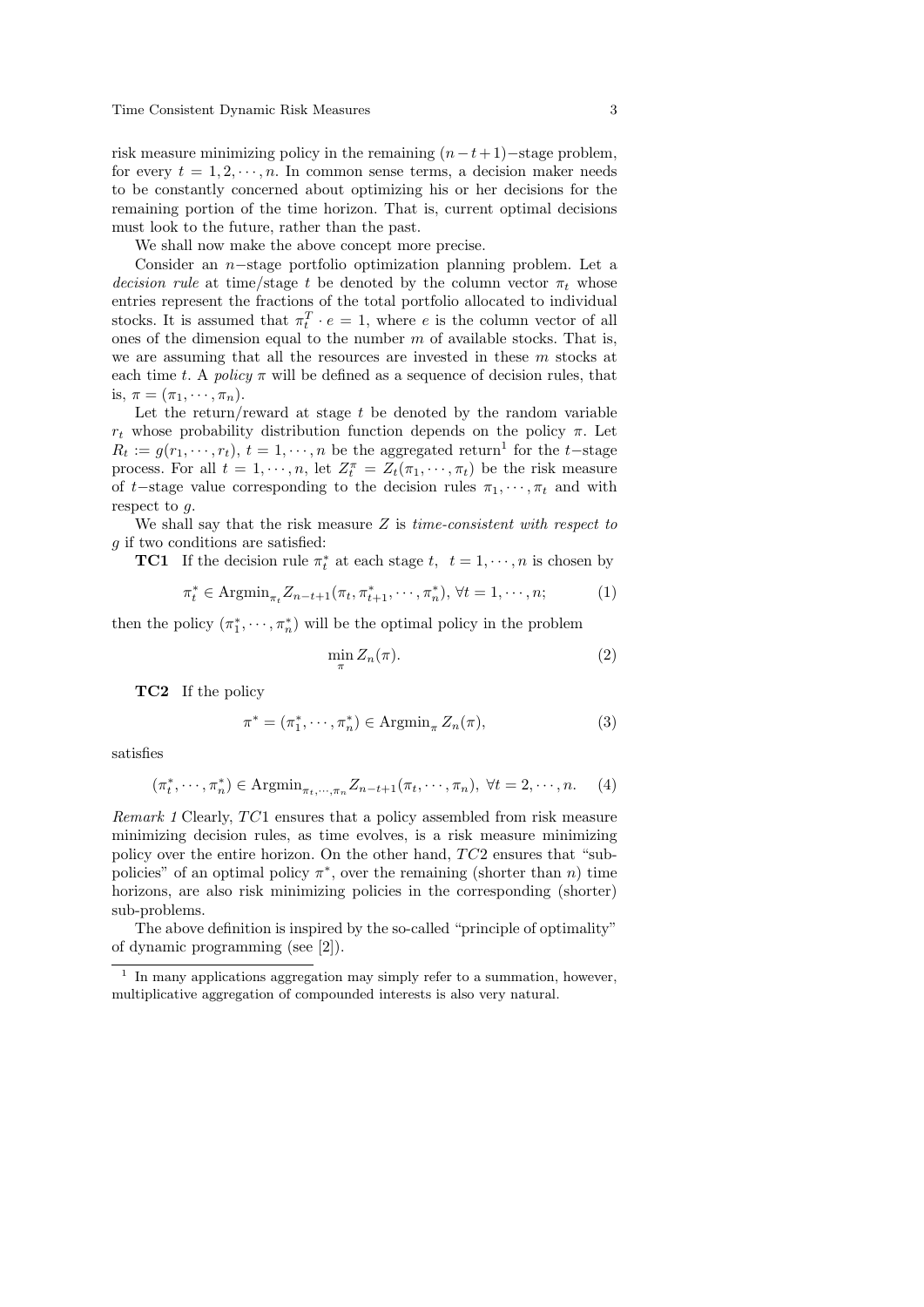risk measure minimizing policy in the remaining  $(n-t+1)$ −stage problem, for every  $t = 1, 2, \dots, n$ . In common sense terms, a decision maker needs to be constantly concerned about optimizing his or her decisions for the remaining portion of the time horizon. That is, current optimal decisions must look to the future, rather than the past.

We shall now make the above concept more precise.

Consider an n−stage portfolio optimization planning problem. Let a decision rule at time/stage t be denoted by the column vector  $\pi_t$  whose entries represent the fractions of the total portfolio allocated to individual stocks. It is assumed that  $\pi_t^T \cdot e = 1$ , where e is the column vector of all ones of the dimension equal to the number  $m$  of available stocks. That is, we are assuming that all the resources are invested in these m stocks at each time t. A policy  $\pi$  will be defined as a sequence of decision rules, that is,  $\pi = (\pi_1, \cdots, \pi_n).$ 

Let the return/reward at stage  $t$  be denoted by the random variable  $r_t$  whose probability distribution function depends on the policy π. Let  $R_t := g(r_1, \dots, r_t), t = 1, \dots, n$  be the aggregated return<sup>1</sup> for the t-stage process. For all  $t = 1, \dots, n$ , let  $Z_t^{\pi} = Z_t(\pi_1, \dots, \pi_t)$  be the risk measure of t–stage value corresponding to the decision rules  $\pi_1, \dots, \pi_t$  and with respect to g.

We shall say that the risk measure  $Z$  is *time-consistent with respect to* g if two conditions are satisfied:

**TC1** If the decision rule  $\pi_t^*$  at each stage  $t, t = 1, \dots, n$  is chosen by

$$
\pi_t^* \in \text{Argmin}_{\pi_t} Z_{n-t+1}(\pi_t, \pi_{t+1}^*, \cdots, \pi_n^*), \forall t = 1, \cdots, n; \tag{1}
$$

then the policy  $(\pi_1^*, \dots, \pi_n^*)$  will be the optimal policy in the problem

$$
\min_{\pi} Z_n(\pi). \tag{2}
$$

TC2 If the policy

$$
\pi^* = (\pi_1^*, \cdots, \pi_n^*) \in \operatorname{Argmin}_{\pi} Z_n(\pi),\tag{3}
$$

satisfies

$$
(\pi_t^*, \cdots, \pi_n^*) \in \text{Argmin}_{\pi_t, \cdots, \pi_n} Z_{n-t+1}(\pi_t, \cdots, \pi_n), \ \forall t = 2, \cdots, n. \tag{4}
$$

*Remark 1* Clearly,  $TC1$  ensures that a policy assembled from risk measure minimizing decision rules, as time evolves, is a risk measure minimizing policy over the entire horizon. On the other hand,  $TC2$  ensures that "subpolicies" of an optimal policy  $\pi^*$ , over the remaining (shorter than *n*) time horizons, are also risk minimizing policies in the corresponding (shorter) sub-problems.

The above definition is inspired by the so-called "principle of optimality" of dynamic programming (see [2]).

<sup>1</sup> In many applications aggregation may simply refer to a summation, however, multiplicative aggregation of compounded interests is also very natural.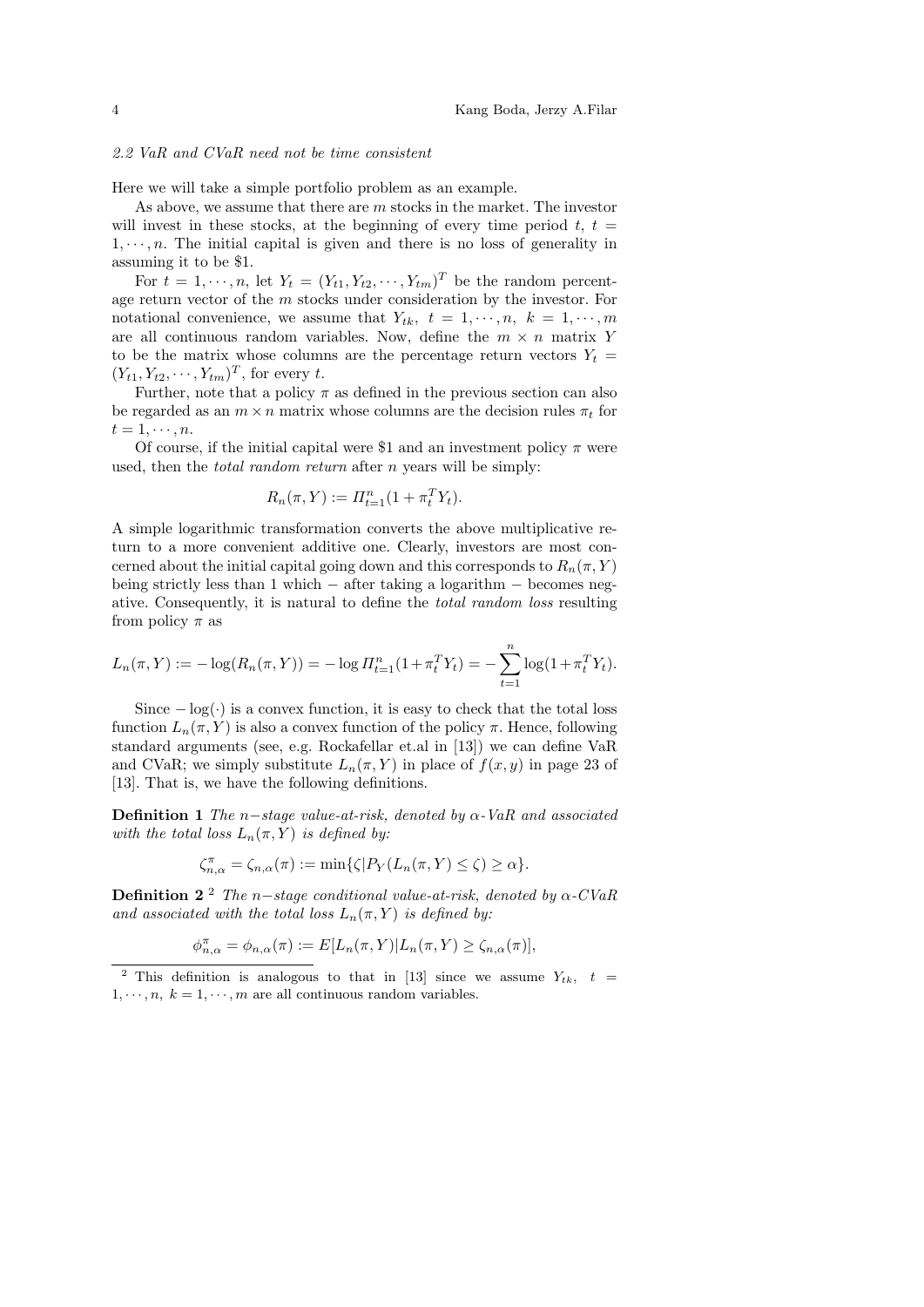#### 2.2 VaR and CVaR need not be time consistent

Here we will take a simple portfolio problem as an example.

As above, we assume that there are m stocks in the market. The investor will invest in these stocks, at the beginning of every time period  $t, t =$  $1, \dots, n$ . The initial capital is given and there is no loss of generality in assuming it to be \$1.

For  $t = 1, \dots, n$ , let  $Y_t = (Y_{t1}, Y_{t2}, \dots, Y_{tm})^T$  be the random percentage return vector of the m stocks under consideration by the investor. For notational convenience, we assume that  $Y_{tk}$ ,  $t = 1, \dots, n$ ,  $k = 1, \dots, m$ are all continuous random variables. Now, define the  $m \times n$  matrix Y to be the matrix whose columns are the percentage return vectors  $Y_t =$  $(Y_{t1}, Y_{t2}, \cdots, Y_{tm})^T$ , for every t.

Further, note that a policy  $\pi$  as defined in the previous section can also be regarded as an  $m \times n$  matrix whose columns are the decision rules  $\pi_t$  for  $t=1,\cdots,n$ .

Of course, if the initial capital were \$1 and an investment policy  $\pi$  were used, then the *total random return* after *n* years will be simply:

$$
R_n(\pi, Y) := \Pi_{t=1}^n (1 + \pi_t^T Y_t).
$$

A simple logarithmic transformation converts the above multiplicative return to a more convenient additive one. Clearly, investors are most concerned about the initial capital going down and this corresponds to  $R_n(\pi, Y)$ being strictly less than 1 which − after taking a logarithm − becomes negative. Consequently, it is natural to define the total random loss resulting from policy  $\pi$  as

$$
L_n(\pi, Y) := -\log(R_n(\pi, Y)) = -\log \Pi_{t=1}^n (1 + \pi_t^T Y_t) = -\sum_{t=1}^n \log(1 + \pi_t^T Y_t).
$$

Since  $-\log(\cdot)$  is a convex function, it is easy to check that the total loss function  $L_n(\pi, Y)$  is also a convex function of the policy  $\pi$ . Hence, following standard arguments (see, e.g. Rockafellar et.al in [13]) we can define VaR and CVaR; we simply substitute  $L_n(\pi, Y)$  in place of  $f(x, y)$  in page 23 of [13]. That is, we have the following definitions.

**Definition 1** The n-stage value-at-risk, denoted by  $\alpha$ -VaR and associated with the total loss  $L_n(\pi, Y)$  is defined by:

$$
\zeta_{n,\alpha}^{\pi} = \zeta_{n,\alpha}(\pi) := \min\{\zeta | P_Y(L_n(\pi, Y) \le \zeta) \ge \alpha\}.
$$

**Definition 2**<sup>2</sup> The n–stage conditional value-at-risk, denoted by  $\alpha$ -CVaR and associated with the total loss  $L_n(\pi, Y)$  is defined by:

$$
\phi_{n,\alpha}^{\pi} = \phi_{n,\alpha}(\pi) := E[L_n(\pi, Y)|L_n(\pi, Y) \ge \zeta_{n,\alpha}(\pi)],
$$

<sup>2</sup> This definition is analogous to that in [13] since we assume  $Y_{tk}$ ,  $t =$  $1, \dots, n, k = 1, \dots, m$  are all continuous random variables.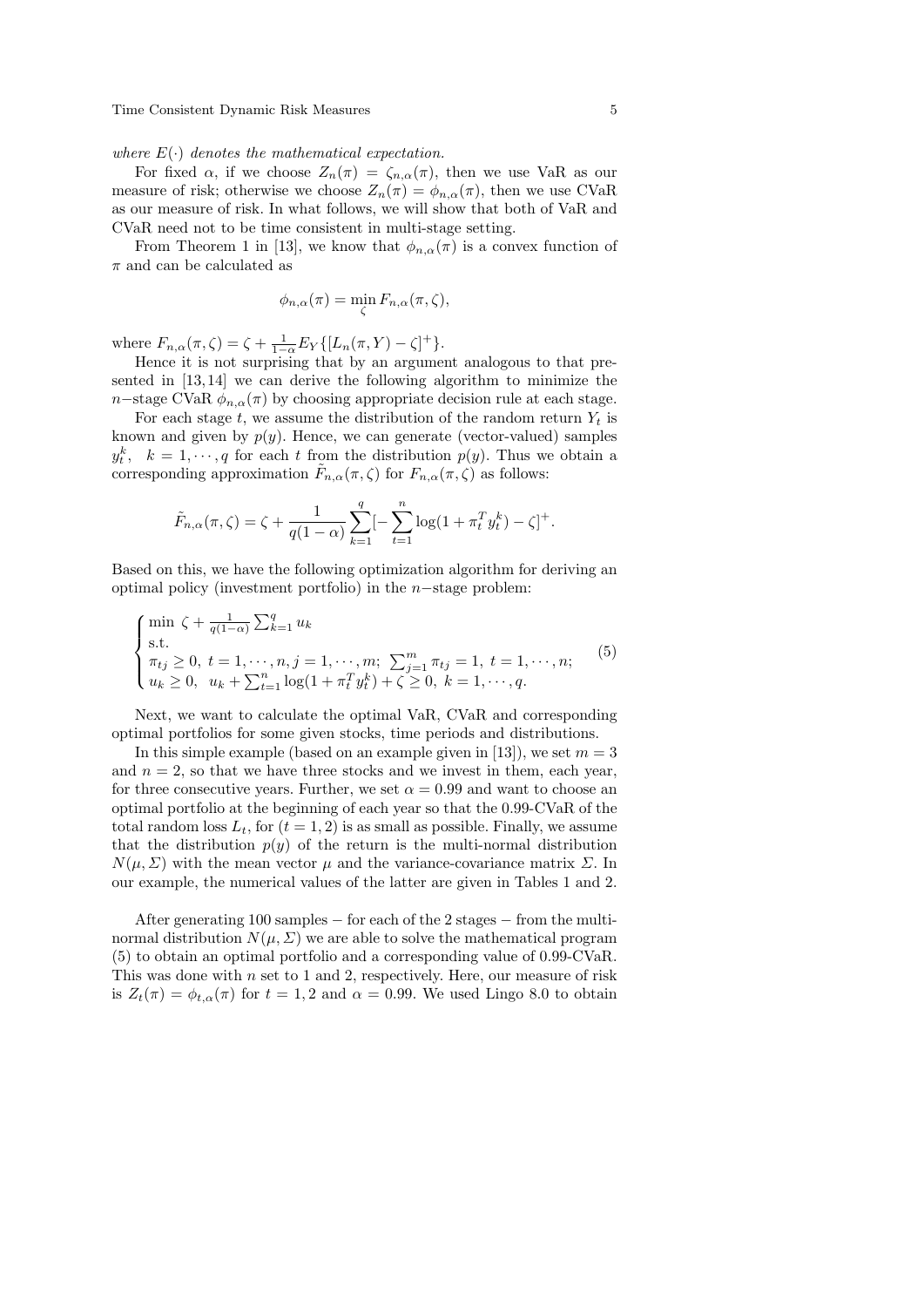where  $E(\cdot)$  denotes the mathematical expectation.

For fixed  $\alpha$ , if we choose  $Z_n(\pi) = \zeta_{n,\alpha}(\pi)$ , then we use VaR as our measure of risk; otherwise we choose  $Z_n(\pi) = \phi_{n,\alpha}(\pi)$ , then we use CVaR as our measure of risk. In what follows, we will show that both of VaR and CVaR need not to be time consistent in multi-stage setting.

From Theorem 1 in [13], we know that  $\phi_{n,\alpha}(\pi)$  is a convex function of  $\pi$  and can be calculated as

$$
\phi_{n,\alpha}(\pi) = \min_{\zeta} F_{n,\alpha}(\pi,\zeta),
$$

where  $F_{n,\alpha}(\pi,\zeta) = \zeta + \frac{1}{1-\alpha} E_Y \{ [L_n(\pi,Y) - \zeta]^+ \}.$ 

Hence it is not surprising that by an argument analogous to that presented in [13, 14] we can derive the following algorithm to minimize the n−stage CVaR  $\phi_{n,\alpha}(\pi)$  by choosing appropriate decision rule at each stage.

For each stage t, we assume the distribution of the random return  $Y_t$  is known and given by  $p(y)$ . Hence, we can generate (vector-valued) samples  $y_t^k$ ,  $k = 1, \dots, q$  for each t from the distribution  $p(y)$ . Thus we obtain a corresponding approximation  $\tilde{F}_{n,\alpha}(\pi,\zeta)$  for  $F_{n,\alpha}(\pi,\zeta)$  as follows:

$$
\tilde{F}_{n,\alpha}(\pi,\zeta) = \zeta + \frac{1}{q(1-\alpha)} \sum_{k=1}^q [-\sum_{t=1}^n \log(1 + \pi_t^T y_t^k) - \zeta]^+.
$$

Based on this, we have the following optimization algorithm for deriving an optimal policy (investment portfolio) in the n−stage problem:

$$
\begin{cases}\n\min \zeta + \frac{1}{q(1-\alpha)} \sum_{k=1}^{q} u_k \\
\text{s.t.} \\
\pi_{tj} \geq 0, \ t = 1, \dots, n, j = 1, \dots, m; \\
u_k \geq 0, \ u_k + \sum_{t=1}^{n} \log(1 + \pi_t^T y_t^k) + \zeta \geq 0, \ k = 1, \dots, q.\n\end{cases} (5)
$$

Next, we want to calculate the optimal VaR, CVaR and corresponding optimal portfolios for some given stocks, time periods and distributions.

In this simple example (based on an example given in [13]), we set  $m = 3$ and  $n = 2$ , so that we have three stocks and we invest in them, each year, for three consecutive years. Further, we set  $\alpha = 0.99$  and want to choose an optimal portfolio at the beginning of each year so that the 0.99-CVaR of the total random loss  $L_t$ , for  $(t = 1, 2)$  is as small as possible. Finally, we assume that the distribution  $p(y)$  of the return is the multi-normal distribution  $N(\mu, \Sigma)$  with the mean vector  $\mu$  and the variance-covariance matrix  $\Sigma$ . In our example, the numerical values of the latter are given in Tables 1 and 2.

After generating 100 samples − for each of the 2 stages − from the multinormal distribution  $N(\mu, \Sigma)$  we are able to solve the mathematical program (5) to obtain an optimal portfolio and a corresponding value of 0.99-CVaR. This was done with  $n$  set to 1 and 2, respectively. Here, our measure of risk is  $Z_t(\pi) = \phi_{t,\alpha}(\pi)$  for  $t = 1,2$  and  $\alpha = 0.99$ . We used Lingo 8.0 to obtain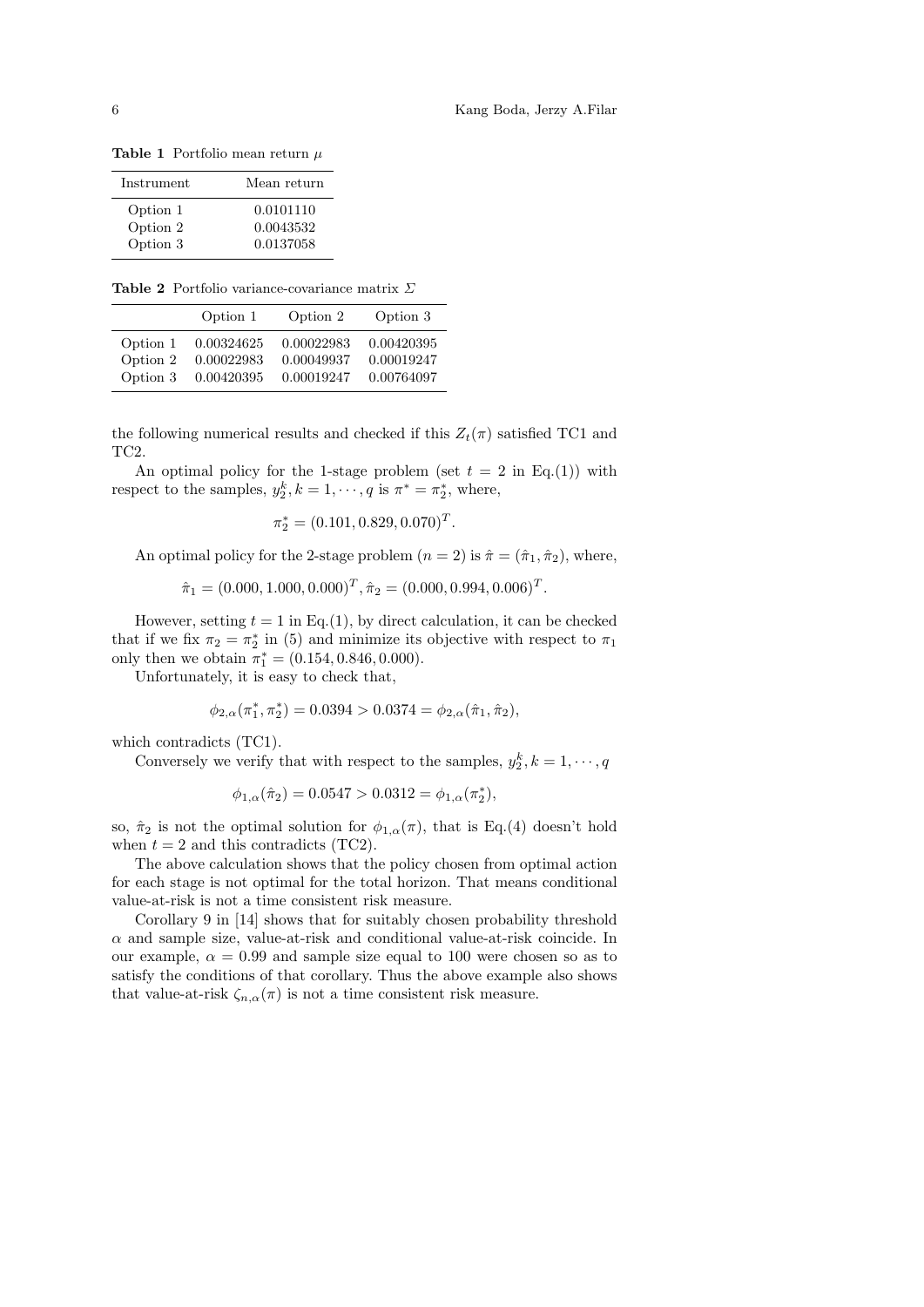Table 1 Portfolio mean return  $\mu$ 

| Instrument | Mean return |
|------------|-------------|
| Option 1   | 0.0101110   |
| Option 2   | 0.0043532   |
| Option 3   | 0.0137058   |

Table 2 Portfolio variance-covariance matrix Σ

|          | Option 1   | Option 2   | Option 3   |
|----------|------------|------------|------------|
| Option 1 | 0.00324625 | 0.00022983 | 0.00420395 |
| Option 2 | 0.00022983 | 0.00049937 | 0.00019247 |
| Option 3 | 0.00420395 | 0.00019247 | 0.00764097 |

the following numerical results and checked if this  $Z_t(\pi)$  satisfied TC1 and TC2.

An optimal policy for the 1-stage problem (set  $t = 2$  in Eq.(1)) with respect to the samples,  $y_2^k, k = 1, \dots, q$  is  $\pi^* = \pi_2^*$ , where,

$$
\pi_2^* = (0.101, 0.829, 0.070)^T.
$$

An optimal policy for the 2-stage problem  $(n = 2)$  is  $\hat{\pi} = (\hat{\pi}_1, \hat{\pi}_2)$ , where,

 $\hat{\pi}_1 = (0.000, 1.000, 0.000)^T, \hat{\pi}_2 = (0.000, 0.994, 0.006)^T.$ 

However, setting  $t = 1$  in Eq.(1), by direct calculation, it can be checked that if we fix  $\pi_2 = \pi_2^*$  in (5) and minimize its objective with respect to  $\pi_1$ only then we obtain  $\pi_1^* = (0.154, 0.846, 0.000)$ .

Unfortunately, it is easy to check that,

$$
\phi_{2,\alpha}(\pi_1^*, \pi_2^*) = 0.0394 > 0.0374 = \phi_{2,\alpha}(\hat{\pi}_1, \hat{\pi}_2),
$$

which contradicts (TC1).

Conversely we verify that with respect to the samples,  $y_2^k$ ,  $k = 1, \dots, q$ 

$$
\phi_{1,\alpha}(\hat{\pi}_2) = 0.0547 > 0.0312 = \phi_{1,\alpha}(\pi_2^*),
$$

so,  $\hat{\pi}_2$  is not the optimal solution for  $\phi_{1,\alpha}(\pi)$ , that is Eq.(4) doesn't hold when  $t = 2$  and this contradicts (TC2).

The above calculation shows that the policy chosen from optimal action for each stage is not optimal for the total horizon. That means conditional value-at-risk is not a time consistent risk measure.

Corollary 9 in [14] shows that for suitably chosen probability threshold  $\alpha$  and sample size, value-at-risk and conditional value-at-risk coincide. In our example,  $\alpha = 0.99$  and sample size equal to 100 were chosen so as to satisfy the conditions of that corollary. Thus the above example also shows that value-at-risk  $\zeta_{n,\alpha}(\pi)$  is not a time consistent risk measure.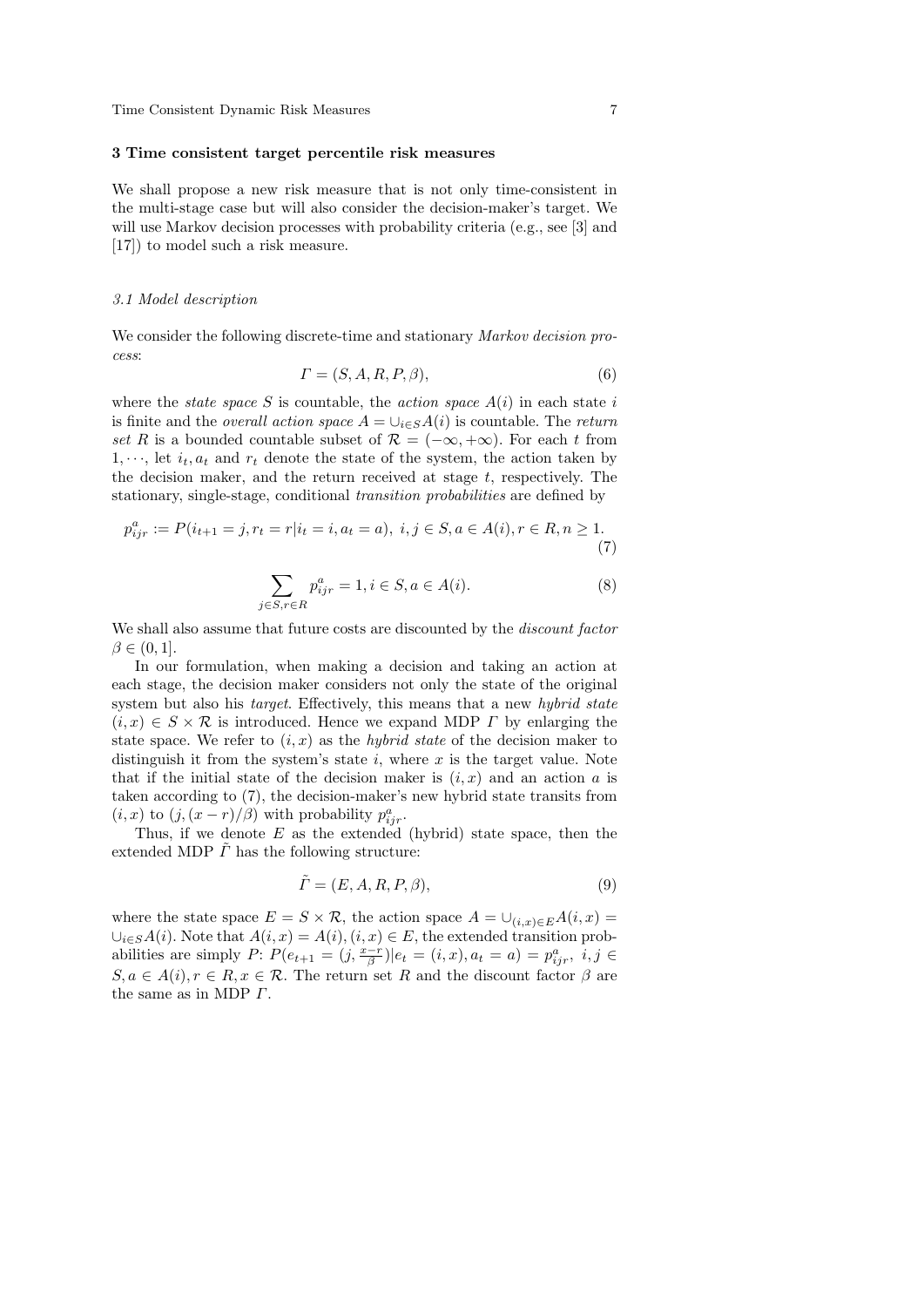#### 3 Time consistent target percentile risk measures

We shall propose a new risk measure that is not only time-consistent in the multi-stage case but will also consider the decision-maker's target. We will use Markov decision processes with probability criteria (e.g., see [3] and [17]) to model such a risk measure.

#### 3.1 Model description

We consider the following discrete-time and stationary *Markov decision pro*cess:

$$
\Gamma = (S, A, R, P, \beta),\tag{6}
$$

where the *state space* S is countable, the *action space*  $A(i)$  in each state i is finite and the *overall action space*  $A = \bigcup_{i \in S} A(i)$  is countable. The return set R is a bounded countable subset of  $\mathcal{R} = (-\infty, +\infty)$ . For each t from  $1, \dots$ , let  $i_t, a_t$  and  $r_t$  denote the state of the system, the action taken by the decision maker, and the return received at stage  $t$ , respectively. The stationary, single-stage, conditional transition probabilities are defined by

$$
p_{ijr}^a := P(i_{t+1} = j, r_t = r | i_t = i, a_t = a), i, j \in S, a \in A(i), r \in R, n \ge 1.
$$
\n(7)

$$
\sum_{j \in S, r \in R} p_{ijr}^a = 1, i \in S, a \in A(i).
$$
 (8)

We shall also assume that future costs are discounted by the *discount factor*  $\beta \in (0,1].$ 

In our formulation, when making a decision and taking an action at each stage, the decision maker considers not only the state of the original system but also his *target*. Effectively, this means that a new *hybrid state*  $(i, x) \in S \times \mathcal{R}$  is introduced. Hence we expand MDP  $\Gamma$  by enlarging the state space. We refer to  $(i, x)$  as the *hybrid state* of the decision maker to distinguish it from the system's state  $i$ , where  $x$  is the target value. Note that if the initial state of the decision maker is  $(i, x)$  and an action a is taken according to (7), the decision-maker's new hybrid state transits from  $(i, x)$  to  $(j, (x - r)/\beta)$  with probability  $p_{ijr}^a$ .

Thus, if we denote  $E$  as the extended (hybrid) state space, then the extended MDP  $\tilde{\Gamma}$  has the following structure:

$$
\tilde{\Gamma} = (E, A, R, P, \beta),\tag{9}
$$

where the state space  $E = S \times \mathcal{R}$ , the action space  $A = \bigcup_{(i,x)\in E} A(i,x) =$  $\bigcup_{i\in S}A(i)$ . Note that  $A(i, x) = A(i), (i, x) \in E$ , the extended transition probabilities are simply P:  $P(e_{t+1} = (j, \frac{x-r}{\beta})|e_t = (i, x), a_t = a) = p_{ijr}^a$ ,  $i, j \in$  $S, a \in A(i), r \in R, x \in \mathcal{R}$ . The return set R and the discount factor  $\beta$  are the same as in MDP Γ.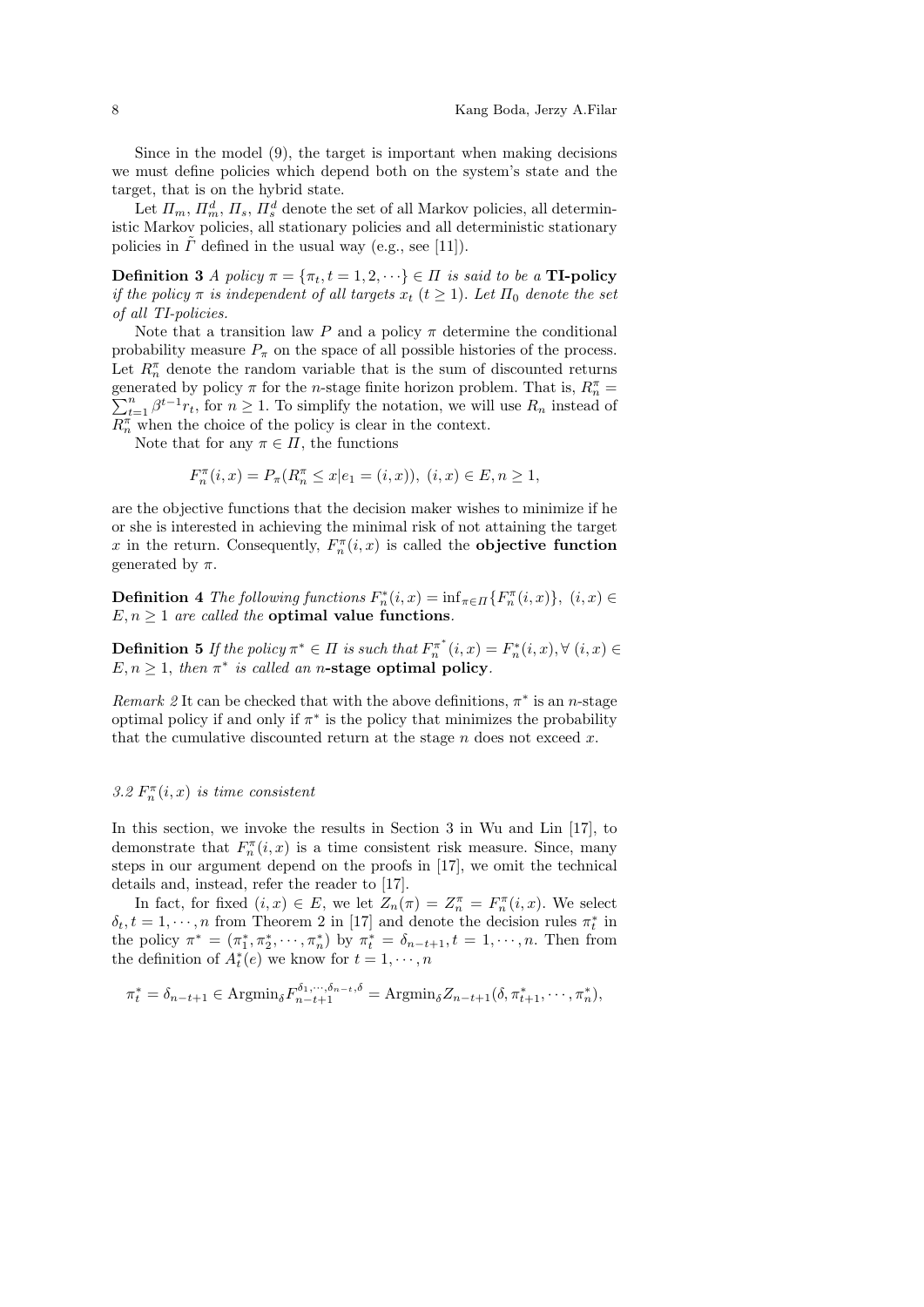Since in the model (9), the target is important when making decisions we must define policies which depend both on the system's state and the target, that is on the hybrid state.

Let  $\Pi_m$ ,  $\Pi_m^d$ ,  $\Pi_s$ ,  $\Pi_s^d$  denote the set of all Markov policies, all deterministic Markov policies, all stationary policies and all deterministic stationary policies in  $\Gamma$  defined in the usual way (e.g., see [11]).

**Definition 3** A policy  $\pi = {\pi_t, t = 1, 2, \cdots} \in \Pi$  is said to be a **TI-policy** if the policy  $\pi$  is independent of all targets  $x_t$  ( $t \geq 1$ ). Let  $\Pi_0$  denote the set of all TI-policies.

Note that a transition law P and a policy  $\pi$  determine the conditional probability measure  $P_{\pi}$  on the space of all possible histories of the process. Let  $R_n^{\pi}$  denote the random variable that is the sum of discounted returns generated by policy  $\pi$  for the *n*-stage finite horizon problem. That is,  $R_n^{\pi}$  = generated by policy  $\pi$  for the *n*-stage finite horizon problem. That is,  $R_n^{\pi} = \sum_{t=1}^n \beta^{t-1} r_t$ , for  $n \ge 1$ . To simplify the notation, we will use  $R_n$  instead of  $R_n^{\pi}$  when the choice of the policy is clear in the context.

Note that for any  $\pi \in \Pi$ , the functions

$$
F_n^{\pi}(i, x) = P_{\pi}(R_n^{\pi} \le x | e_1 = (i, x)), (i, x) \in E, n \ge 1,
$$

are the objective functions that the decision maker wishes to minimize if he or she is interested in achieving the minimal risk of not attaining the target x in the return. Consequently,  $F_n^{\pi}(i, x)$  is called the **objective function** generated by  $\pi$ .

**Definition 4** The following functions  $F_n^*(i, x) = \inf_{\pi \in \Pi} \{ F_n^{\pi}(i, x) \}, (i, x) \in$  $E, n \geq 1$  are called the **optimal value functions**.

**Definition 5** If the policy  $\pi^* \in \Pi$  is such that  $F_n^{\pi^*}(i, x) = F_n^*(i, x), \forall (i, x) \in$  $E, n \geq 1$ , then  $\pi^*$  is called an n-stage optimal policy.

Remark 2 It can be checked that with the above definitions,  $\pi^*$  is an n-stage optimal policy if and only if  $\pi^*$  is the policy that minimizes the probability that the cumulative discounted return at the stage  $n$  does not exceed  $x$ .

## 3.2  $F_n^{\pi}(i, x)$  is time consistent

In this section, we invoke the results in Section 3 in Wu and Lin [17], to demonstrate that  $F_n^{\pi}(i, x)$  is a time consistent risk measure. Since, many steps in our argument depend on the proofs in [17], we omit the technical details and, instead, refer the reader to [17].

In fact, for fixed  $(i, x) \in E$ , we let  $Z_n(\pi) = Z_n^{\pi} = F_n^{\pi}(i, x)$ . We select  $\delta_t, t = 1, \dots, n$  from Theorem 2 in [17] and denote the decision rules  $\pi_t^*$  in the policy  $\pi^* = (\pi_1^*, \pi_2^*, \cdots, \pi_n^*)$  by  $\pi_t^* = \delta_{n-t+1}, t = 1, \cdots, n$ . Then from the definition of  $A_t^*(e)$  we know for  $t = 1, \dots, n$ 

$$
\pi_t^* = \delta_{n-t+1} \in \text{Argmin}_{\delta} F_{n-t+1}^{\delta_1, \cdots, \delta_{n-t}, \delta} = \text{Argmin}_{\delta} Z_{n-t+1}(\delta, \pi_{t+1}^*, \cdots, \pi_n^*)
$$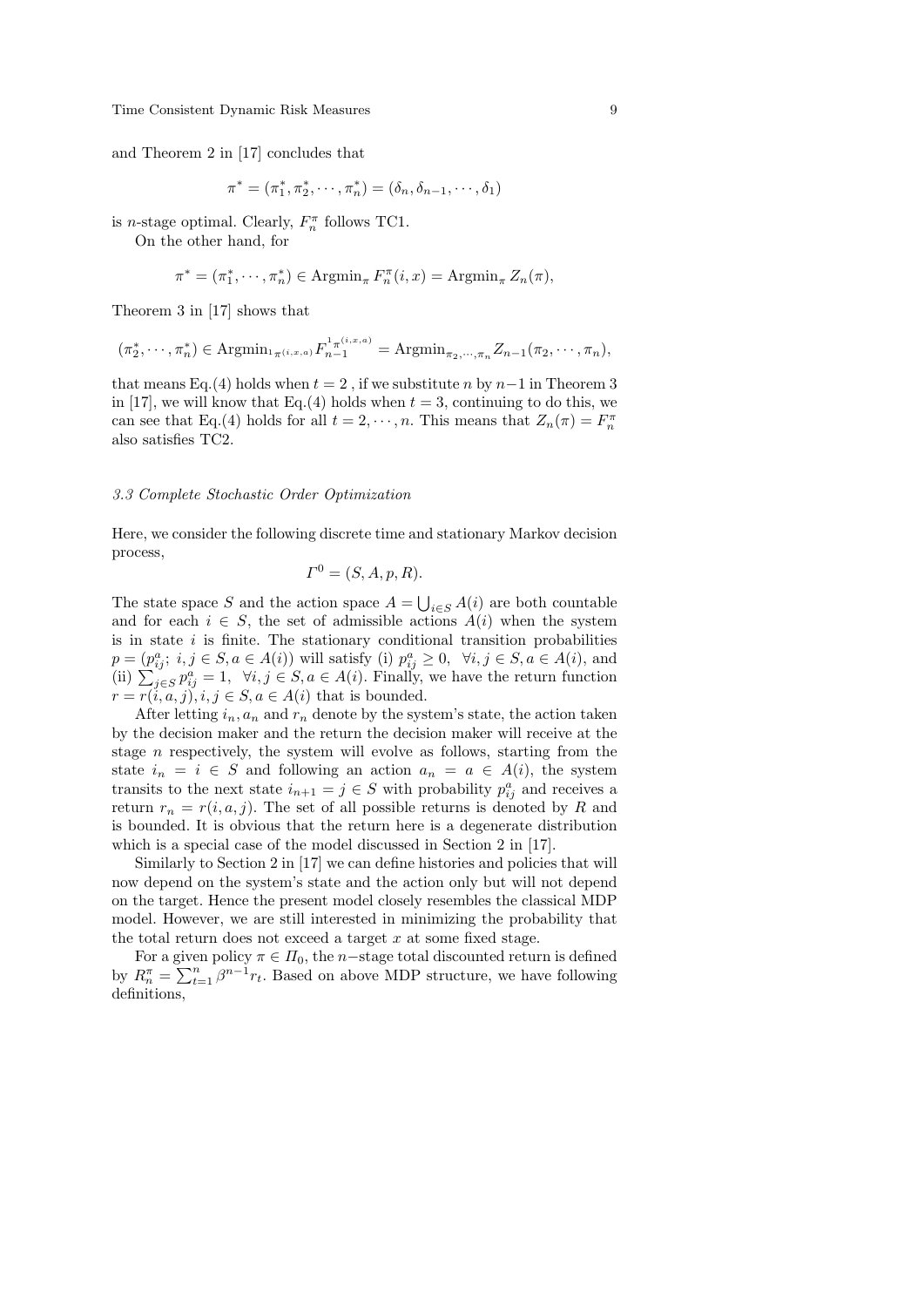and Theorem 2 in [17] concludes that

$$
\pi^* = (\pi_1^*, \pi_2^*, \cdots, \pi_n^*) = (\delta_n, \delta_{n-1}, \cdots, \delta_1)
$$

is *n*-stage optimal. Clearly,  $F_n^{\pi}$  follows TC1.

On the other hand, for

$$
\pi^* = (\pi_1^*, \cdots, \pi_n^*) \in \operatorname{Argmin}_{\pi} F_n^{\pi}(i, x) = \operatorname{Argmin}_{\pi} Z_n(\pi),
$$

Theorem 3 in [17] shows that

$$
(\pi_2^*, \cdots, \pi_n^*) \in \text{Argmin}_{1_{\pi}(i, x, a)} F_{n-1}^{1_{\pi}(i, x, a)} = \text{Argmin}_{\pi_2, \cdots, \pi_n} Z_{n-1}(\pi_2, \cdots, \pi_n),
$$

that means Eq.(4) holds when  $t = 2$ , if we substitute n by  $n-1$  in Theorem 3 in [17], we will know that Eq.(4) holds when  $t = 3$ , continuing to do this, we can see that Eq.(4) holds for all  $t = 2, \dots, n$ . This means that  $Z_n(\pi) = F_n^{\pi}$ also satisfies TC2.

#### 3.3 Complete Stochastic Order Optimization

Here, we consider the following discrete time and stationary Markov decision process,

$$
\varGamma^0 = (S, A, p, R).
$$

The state space S and the action space  $A = \bigcup_{i \in S} A(i)$  are both countable and for each  $i \in S$ , the set of admissible actions  $A(i)$  when the system is in state  $i$  is finite. The stationary conditional transition probabilities  $p = (p_{ij}^a; i, j \in S, a \in A(i))$  will satisfy (i)  $p_{ij}^a \geq 0$ ,  $\forall i, j \in S, a \in A(i)$ , and (ii)  $\sum_{j \in S}^s p_{ij}^a = 1$ ,  $\forall i, j \in S, a \in A(i)$ . Finally, we have the return function  $r = r(i, a, j), i, j \in S, a \in A(i)$  that is bounded.

After letting  $i_n$ ,  $a_n$  and  $r_n$  denote by the system's state, the action taken by the decision maker and the return the decision maker will receive at the stage  $n$  respectively, the system will evolve as follows, starting from the state  $i_n = i \in S$  and following an action  $a_n = a \in A(i)$ , the system transits to the next state  $i_{n+1} = j \in S$  with probability  $p_{ij}^a$  and receives a return  $r_n = r(i, a, j)$ . The set of all possible returns is denoted by R and is bounded. It is obvious that the return here is a degenerate distribution which is a special case of the model discussed in Section 2 in [17].

Similarly to Section 2 in [17] we can define histories and policies that will now depend on the system's state and the action only but will not depend on the target. Hence the present model closely resembles the classical MDP model. However, we are still interested in minimizing the probability that the total return does not exceed a target  $x$  at some fixed stage.

For a given policy  $\pi \in \Pi_0$ , the n–stage total discounted return is defined by  $R_n^{\pi} = \sum_{t=1}^n \beta^{n-1} r_t$ . Based on above MDP structure, we have following definitions,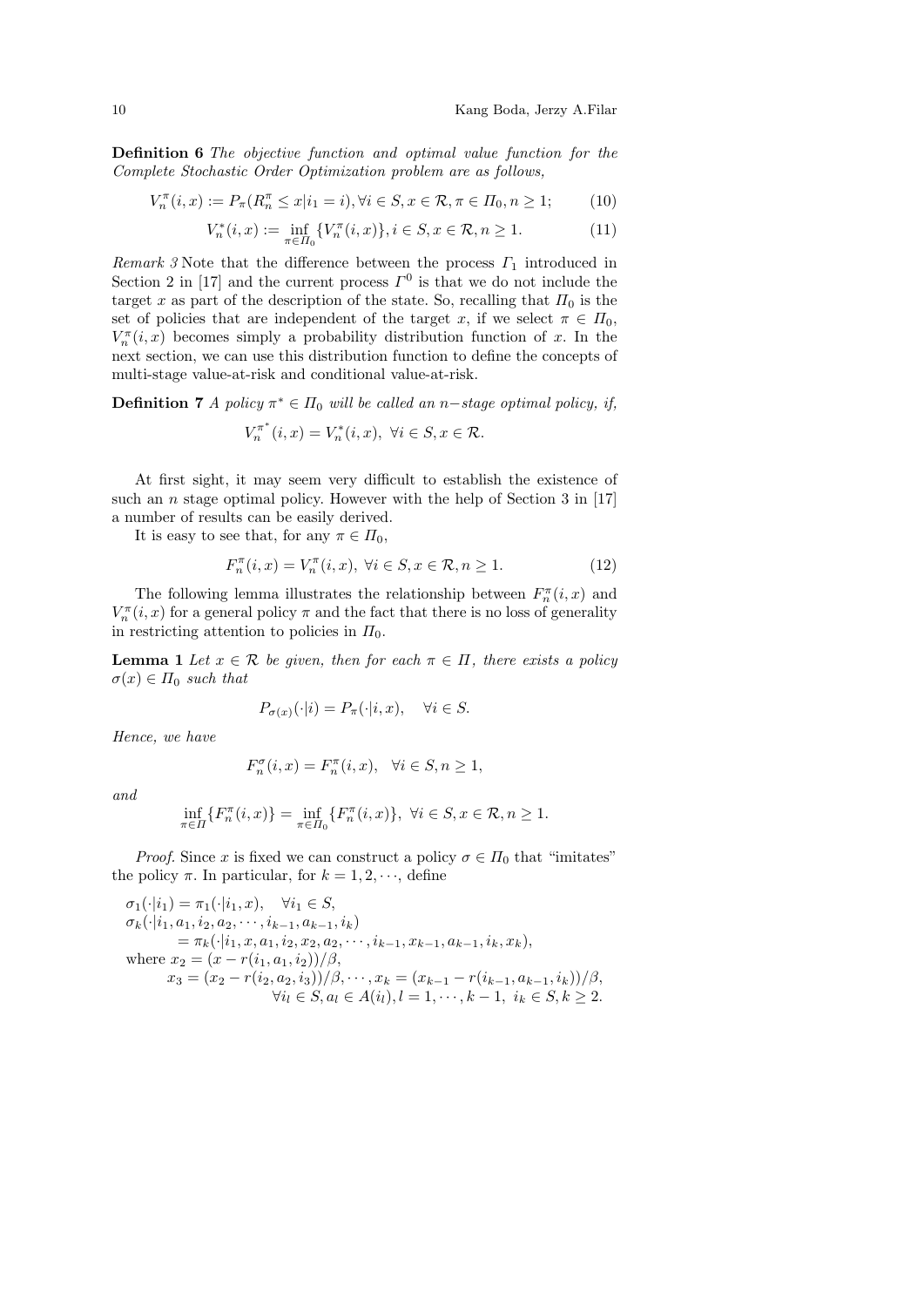Definition 6 The objective function and optimal value function for the Complete Stochastic Order Optimization problem are as follows,

$$
V_n^{\pi}(i, x) := P_{\pi}(R_n^{\pi} \le x | i_1 = i), \forall i \in S, x \in \mathcal{R}, \pi \in \Pi_0, n \ge 1; \tag{10}
$$

$$
V_n^*(i, x) := \inf_{\pi \in \Pi_0} \{ V_n^{\pi}(i, x) \}, i \in S, x \in \mathcal{R}, n \ge 1.
$$
 (11)

Remark 3 Note that the difference between the process  $\Gamma_1$  introduced in Section 2 in [17] and the current process  $\Gamma^0$  is that we do not include the target x as part of the description of the state. So, recalling that  $\Pi_0$  is the set of policies that are independent of the target x, if we select  $\pi \in \Pi_0$ ,  $V_n^{\pi}(i, x)$  becomes simply a probability distribution function of x. In the next section, we can use this distribution function to define the concepts of multi-stage value-at-risk and conditional value-at-risk.

**Definition 7** A policy  $\pi^* \in \Pi_0$  will be called an n-stage optimal policy, if,

$$
V^{\pi^*}_n(i,x)=V^*_n(i,x),\ \forall i\in S, x\in \mathcal{R}.
$$

At first sight, it may seem very difficult to establish the existence of such an *n* stage optimal policy. However with the help of Section  $3$  in [17] a number of results can be easily derived.

It is easy to see that, for any  $\pi \in \Pi_0$ ,

$$
F_n^{\pi}(i, x) = V_n^{\pi}(i, x), \ \forall i \in S, x \in \mathcal{R}, n \ge 1.
$$
 (12)

The following lemma illustrates the relationship between  $F_n^{\pi}(i, x)$  and  $V^{\pi}_n(i,x)$  for a general policy  $\pi$  and the fact that there is no loss of generality in restricting attention to policies in  $\Pi_0$ .

**Lemma 1** Let  $x \in \mathcal{R}$  be given, then for each  $\pi \in \Pi$ , there exists a policy  $\sigma(x) \in \Pi_0$  such that

$$
P_{\sigma(x)}(\cdot|i) = P_{\pi}(\cdot|i, x), \quad \forall i \in S.
$$

Hence, we have

$$
F_n^{\sigma}(i, x) = F_n^{\pi}(i, x), \quad \forall i \in S, n \ge 1,
$$

and

$$
\inf_{\pi \in \Pi} \{ F_n^{\pi}(i, x) \} = \inf_{\pi \in \Pi_0} \{ F_n^{\pi}(i, x) \}, \ \forall i \in S, x \in \mathcal{R}, n \ge 1.
$$

*Proof.* Since x is fixed we can construct a policy  $\sigma \in \Pi_0$  that "imitates" the policy  $\pi$ . In particular, for  $k = 1, 2, \dots$ , define

$$
\sigma_1(\cdot|i_1) = \pi_1(\cdot|i_1, x), \quad \forall i_1 \in S,
$$
  
\n
$$
\sigma_k(\cdot|i_1, a_1, i_2, a_2, \cdots, i_{k-1}, a_{k-1}, i_k)
$$
  
\n
$$
= \pi_k(\cdot|i_1, x, a_1, i_2, x_2, a_2, \cdots, i_{k-1}, x_{k-1}, a_{k-1}, i_k, x_k),
$$
  
\nwhere  $x_2 = (x - r(i_1, a_1, i_2))/\beta,$   
\n $x_3 = (x_2 - r(i_2, a_2, i_3))/\beta, \cdots, x_k = (x_{k-1} - r(i_{k-1}, a_{k-1}, i_k))/\beta,$   
\n $\forall i_l \in S, a_l \in A(i_l), l = 1, \cdots, k-1, i_k \in S, k \ge 2.$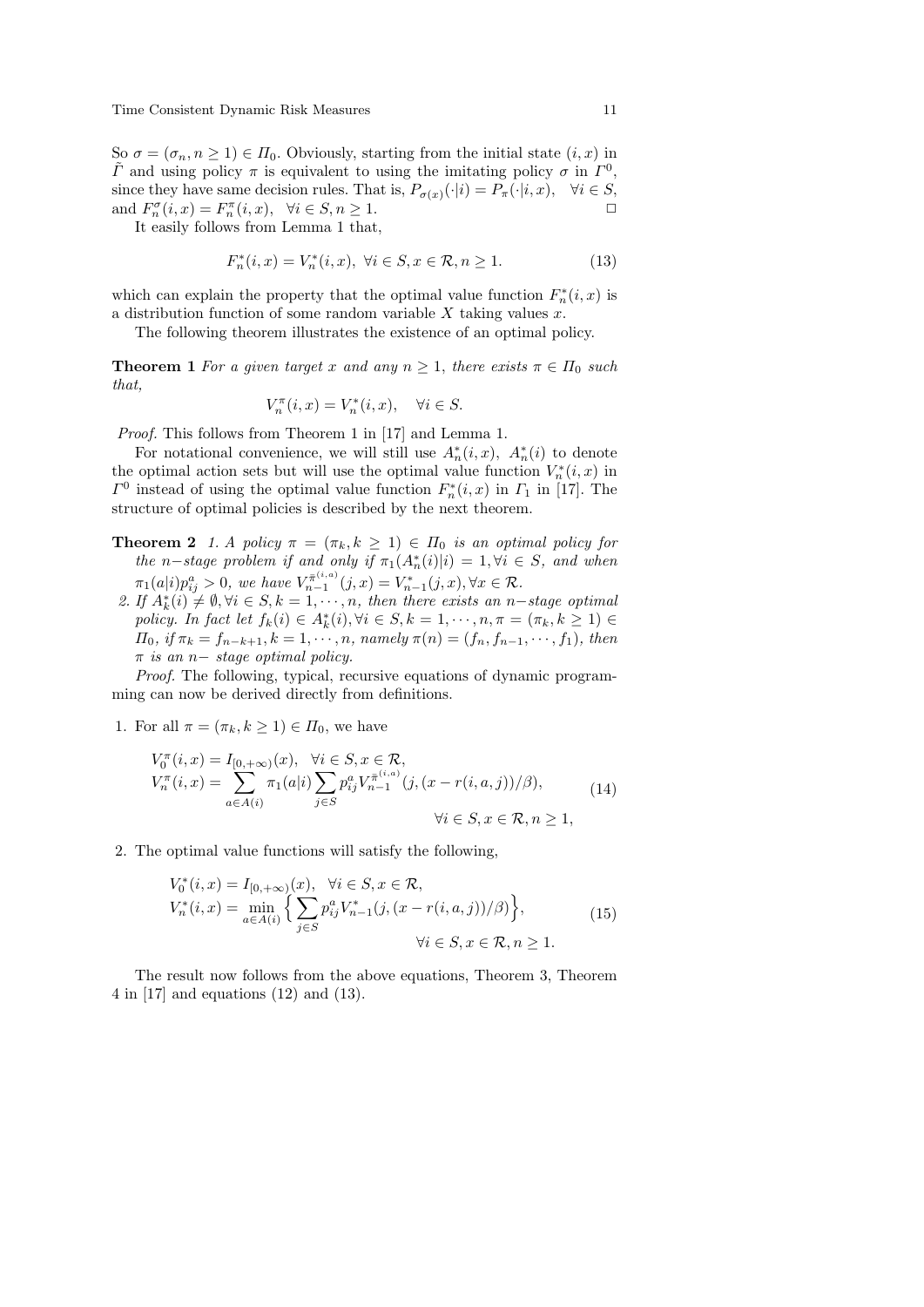So  $\sigma = (\sigma_n, n \ge 1) \in \Pi_0$ . Obviously, starting from the initial state  $(i, x)$  in  $\tilde{\Gamma}$  and using policy  $\pi$  is equivalent to using the imitating policy  $\sigma$  in  $\Gamma^0$ , since they have same decision rules. That is,  $P_{\sigma(x)}(\cdot|i) = P_{\pi}(\cdot|i, x), \quad \forall i \in S$ , and  $F_n^{\sigma}(i, x) = F_n^{\pi}(i, x), \quad \forall i \in S, n \ge 1.$ 

It easily follows from Lemma 1 that,

$$
F_n^*(i, x) = V_n^*(i, x), \ \forall i \in S, x \in \mathcal{R}, n \ge 1.
$$
 (13)

which can explain the property that the optimal value function  $F_n^*(i, x)$  is a distribution function of some random variable  $X$  taking values  $x$ .

The following theorem illustrates the existence of an optimal policy.

**Theorem 1** For a given target x and any  $n \geq 1$ , there exists  $\pi \in \Pi_0$  such that,

$$
V^{\pi}_n(i,x)=V^*_n(i,x), \quad \forall i\in S.
$$

Proof. This follows from Theorem 1 in [17] and Lemma 1.

For notational convenience, we will still use  $A_n^*(i, x)$ ,  $A_n^*(i)$  to denote the optimal action sets but will use the optimal value function  $V_n^*(i, x)$  in  $\Gamma^0$  instead of using the optimal value function  $F_n^*(i, x)$  in  $\Gamma_1$  in [17]. The structure of optimal policies is described by the next theorem.

- **Theorem 2** 1. A policy  $\pi = (\pi_k, k \ge 1) \in \Pi_0$  is an optimal policy for the n-stage problem if and only if  $\pi_1(A_n^*(i)|i) = 1, \forall i \in S$ , and when  $\pi_1(a|i) p_{ij}^a > 0$ , we have  $V_{n-1}^{\pi^{(i,a)}}(j,x) = V_{n-1}^*(j,x), \forall x \in \mathcal{R}$ .
- 2. If  $A_k^*(i) \neq \emptyset, \forall i \in S, k = 1, \dots, n$ , then there exists an n-stage optimal policy. In fact let  $f_k(i) \in A_k^*(i), \forall i \in S, k = 1, \dots, n, \pi = (\pi_k, k \geq 1) \in$  $\Pi_0$ , if  $\pi_k = f_{n-k+1}, k = 1, \dots, n$ , namely  $\pi(n) = (f_n, f_{n-1}, \dots, f_1)$ , then  $\pi$  is an n– stage optimal policy.

Proof. The following, typical, recursive equations of dynamic programming can now be derived directly from definitions.

1. For all  $\pi = (\pi_k, k \geq 1) \in \Pi_0$ , we have

$$
V_0^{\pi}(i, x) = I_{[0, +\infty)}(x), \quad \forall i \in S, x \in \mathcal{R},
$$
  
\n
$$
V_n^{\pi}(i, x) = \sum_{a \in A(i)} \pi_1(a|i) \sum_{j \in S} p_{ij}^a V_{n-1}^{\pi^{(i, a)}}(j, (x - r(i, a, j))/\beta),
$$
  
\n
$$
\forall i \in S, x \in \mathcal{R}, n \ge 1,
$$
\n(14)

2. The optimal value functions will satisfy the following,

$$
V_0^*(i, x) = I_{[0, +\infty)}(x), \quad \forall i \in S, x \in \mathcal{R},
$$
  
\n
$$
V_n^*(i, x) = \min_{a \in A(i)} \left\{ \sum_{j \in S} p_{ij}^a V_{n-1}^*(j, (x - r(i, a, j))/\beta) \right\},
$$
  
\n
$$
\forall i \in S, x \in \mathcal{R}, n \ge 1.
$$
\n(15)

The result now follows from the above equations, Theorem 3, Theorem 4 in [17] and equations (12) and (13).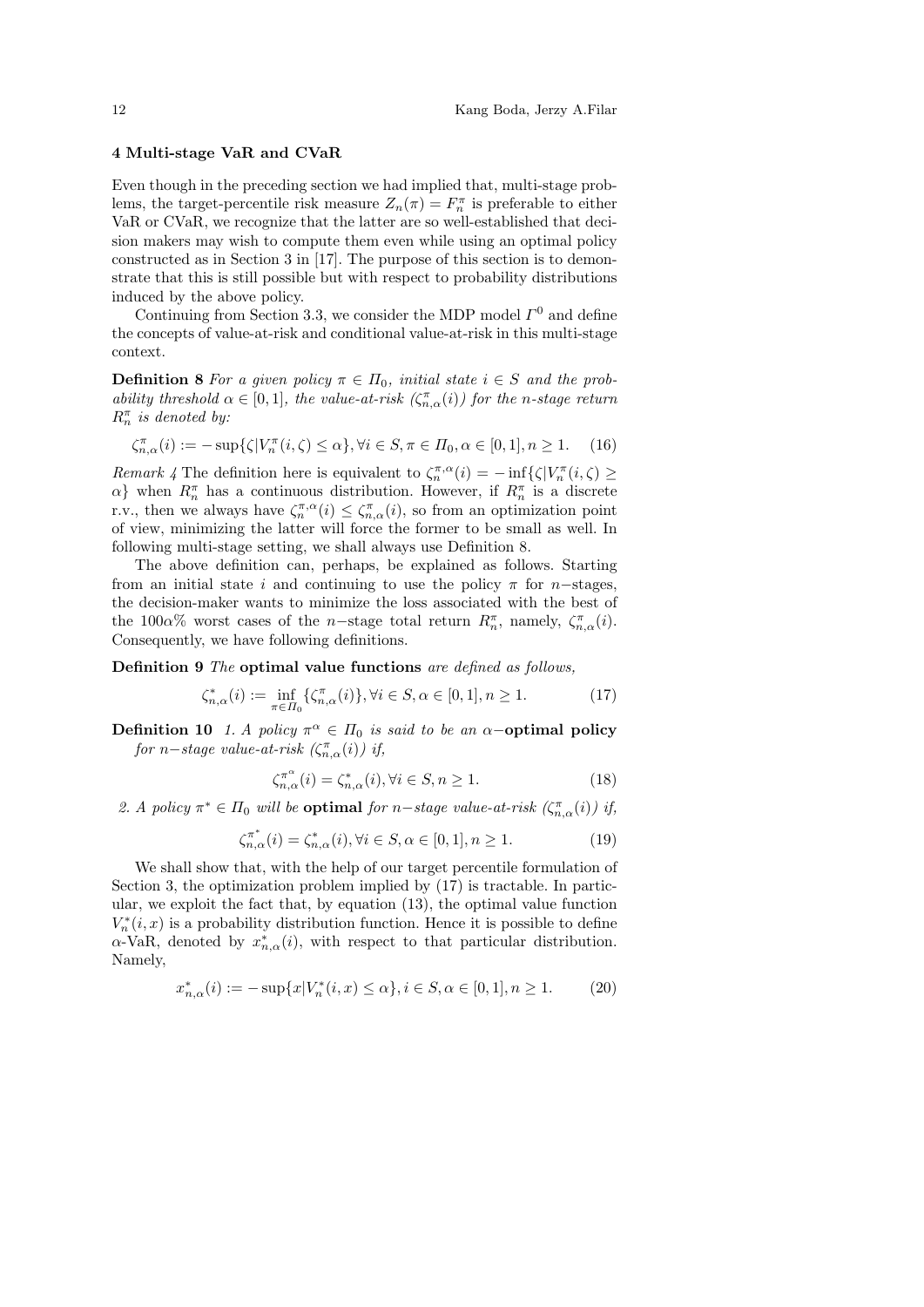#### 4 Multi-stage VaR and CVaR

Even though in the preceding section we had implied that, multi-stage problems, the target-percentile risk measure  $Z_n(\pi) = F_n^{\pi}$  is preferable to either VaR or CVaR, we recognize that the latter are so well-established that decision makers may wish to compute them even while using an optimal policy constructed as in Section 3 in [17]. The purpose of this section is to demonstrate that this is still possible but with respect to probability distributions induced by the above policy.

Continuing from Section 3.3, we consider the MDP model  $\Gamma^0$  and define the concepts of value-at-risk and conditional value-at-risk in this multi-stage context.

**Definition 8** For a given policy  $\pi \in \Pi_0$ , initial state  $i \in S$  and the probability threshold  $\alpha \in [0,1]$ , the value-at-risk  $(\zeta_{n,\alpha}^{\pi}(i))$  for the n-stage return  $R_n^{\pi}$  is denoted by:

$$
\zeta_{n,\alpha}^{\pi}(i) := -\sup\{\zeta|V_n^{\pi}(i,\zeta) \le \alpha\}, \forall i \in S, \pi \in \Pi_0, \alpha \in [0,1], n \ge 1. \tag{16}
$$

Remark 4 The definition here is equivalent to  $\zeta_n^{\pi,\alpha}(i) = -\inf\{\zeta|V_n^{\pi}(i,\zeta)\geq 0\}$  $\alpha$ } when  $R_n^{\pi}$  has a continuous distribution. However, if  $R_n^{\pi}$  is a discrete r.v., then we always have  $\zeta_n^{\pi,\alpha}(i) \leq \zeta_{n,\alpha}^{\pi}(i)$ , so from an optimization point of view, minimizing the latter will force the former to be small as well. In following multi-stage setting, we shall always use Definition 8.

The above definition can, perhaps, be explained as follows. Starting from an initial state i and continuing to use the policy  $\pi$  for n–stages, the decision-maker wants to minimize the loss associated with the best of the 100 $\alpha$ % worst cases of the n-stage total return  $R_n^{\pi}$ , namely,  $\zeta_{n,\alpha}^{\pi}(i)$ . Consequently, we have following definitions.

Definition 9 The optimal value functions are defined as follows,

$$
\zeta_{n,\alpha}^*(i) := \inf_{\pi \in \Pi_0} \{ \zeta_{n,\alpha}^{\pi}(i) \}, \forall i \in S, \alpha \in [0,1], n \ge 1.
$$
 (17)

**Definition 10** 1. A policy  $\pi^{\alpha} \in \Pi_0$  is said to be an  $\alpha$ -optimal policy for n–stage value-at-risk  $(\zeta_{n,\alpha}^{\pi}(i))$  if,

$$
\zeta_{n,\alpha}^{\pi^{\alpha}}(i) = \zeta_{n,\alpha}^{*}(i), \forall i \in S, n \ge 1.
$$
\n(18)

2. A policy  $\pi^* \in \Pi_0$  will be **optimal** for n-stage value-at-risk  $(\zeta_{n,\alpha}^{\pi}(i))$  if,

$$
\zeta_{n,\alpha}^{\pi^*}(i) = \zeta_{n,\alpha}^*(i), \forall i \in S, \alpha \in [0,1], n \ge 1.
$$
 (19)

We shall show that, with the help of our target percentile formulation of Section 3, the optimization problem implied by (17) is tractable. In particular, we exploit the fact that, by equation (13), the optimal value function  $V_n^*(i, x)$  is a probability distribution function. Hence it is possible to define  $\alpha$ -VaR, denoted by  $x_{n,\alpha}^*(i)$ , with respect to that particular distribution. Namely,

$$
x_{n,\alpha}^*(i) := -\sup\{x | V_n^*(i,x) \le \alpha\}, i \in S, \alpha \in [0,1], n \ge 1. \tag{20}
$$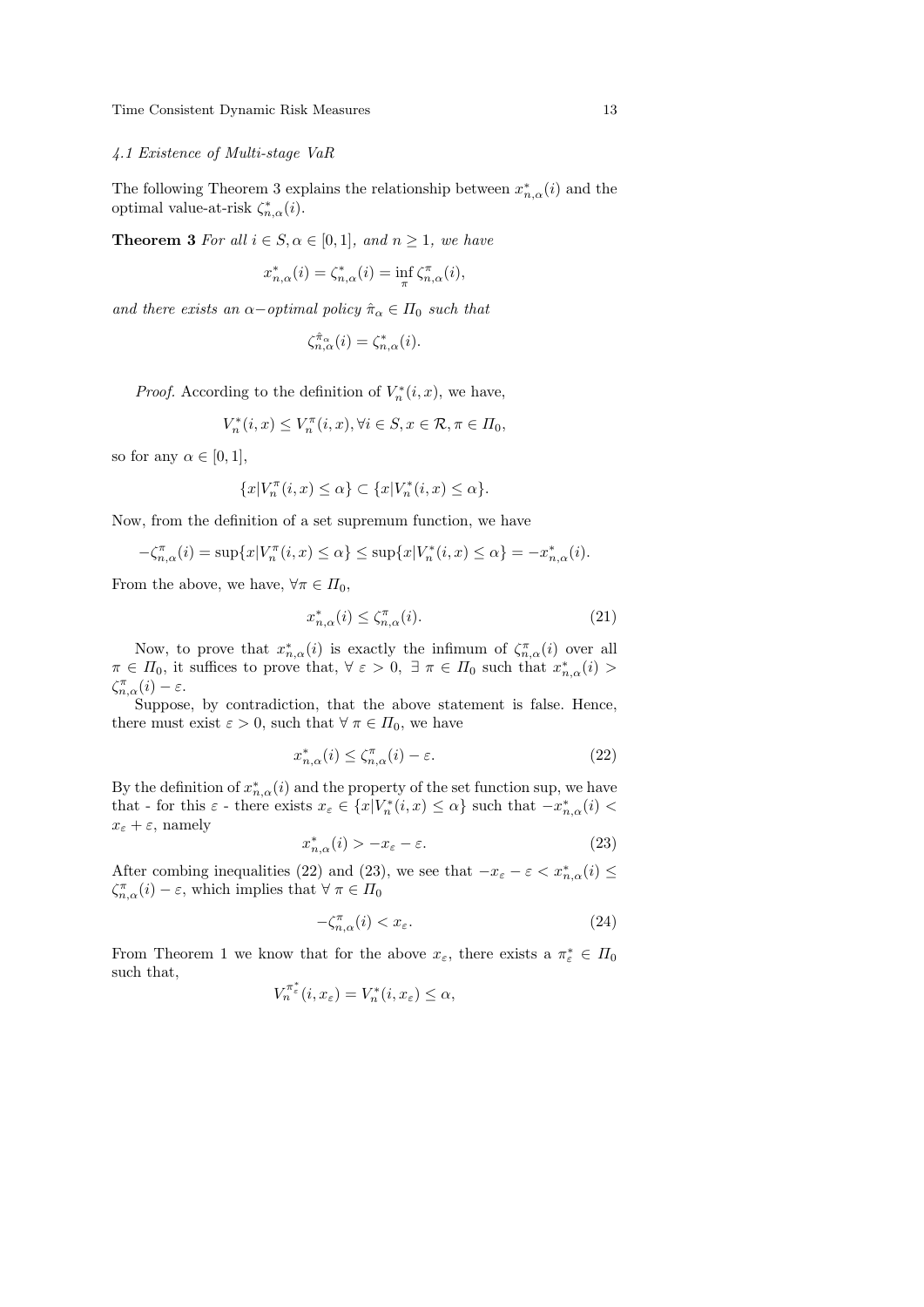#### 4.1 Existence of Multi-stage VaR

The following Theorem 3 explains the relationship between  $x_{n,\alpha}^*(i)$  and the optimal value-at-risk  $\zeta_{n,\alpha}^*(i)$ .

**Theorem 3** For all  $i \in S$ ,  $\alpha \in [0, 1]$ , and  $n \ge 1$ , we have

$$
x_{n,\alpha}^*(i)=\zeta_{n,\alpha}^*(i)=\inf_{\pi}\zeta_{n,\alpha}^{\pi}(i),
$$

and there exists an  $\alpha$ -optimal policy  $\hat{\pi}_{\alpha} \in \Pi_0$  such that

$$
\zeta_{n,\alpha}^{\hat{\pi}_\alpha}(i)=\zeta_{n,\alpha}^*(i).
$$

*Proof.* According to the definition of  $V_n^*(i, x)$ , we have,

$$
V_n^*(i, x) \le V_n^{\pi}(i, x), \forall i \in S, x \in \mathcal{R}, \pi \in \Pi_0,
$$

so for any  $\alpha \in [0, 1]$ ,

$$
\{x|V^{\pi}_n(i,x)\leq \alpha\}\subset \{x|V^*_n(i,x)\leq \alpha\}.
$$

Now, from the definition of a set supremum function, we have

$$
-\zeta_{n,\alpha}^{\pi}(i) = \sup\{x | V_n^{\pi}(i, x) \le \alpha\} \le \sup\{x | V_n^*(i, x) \le \alpha\} = -x_{n,\alpha}^*(i).
$$

From the above, we have,  $\forall \pi \in \Pi_0$ ,

$$
x_{n,\alpha}^*(i) \le \zeta_{n,\alpha}^{\pi}(i). \tag{21}
$$

Now, to prove that  $x_{n,\alpha}^*(i)$  is exactly the infimum of  $\zeta_{n,\alpha}^{\pi}(i)$  over all  $\pi \in \Pi_0$ , it suffices to prove that,  $\forall \varepsilon > 0$ ,  $\exists \pi \in \Pi_0$  such that  $x_{n,\alpha}^*(i) >$  $\zeta_{n,\alpha}^{\pi}(i) - \varepsilon.$ 

Suppose, by contradiction, that the above statement is false. Hence, there must exist  $\varepsilon > 0$ , such that  $\forall \pi \in \Pi_0$ , we have

$$
x_{n,\alpha}^*(i) \le \zeta_{n,\alpha}^{\pi}(i) - \varepsilon. \tag{22}
$$

By the definition of  $x_{n,\alpha}^*(i)$  and the property of the set function sup, we have that - for this  $\varepsilon$  - there exists  $x_{\varepsilon} \in \{x|V_n^*(i,x) \leq \alpha\}$  such that  $-x_{n,\alpha}^*(i)$  $x_{\varepsilon} + \varepsilon$ , namely

$$
x_{n,\alpha}^*(i) > -x_{\varepsilon} - \varepsilon. \tag{23}
$$

After combing inequalities (22) and (23), we see that  $-x_{\varepsilon} - \varepsilon < x_{n,\alpha}^*(i) \leq$  $\zeta_{n,\alpha}^{\pi}(i) - \varepsilon$ , which implies that  $\forall \pi \in \Pi_0$ 

$$
-\zeta_{n,\alpha}^{\pi}(i) < x_{\varepsilon}.\tag{24}
$$

From Theorem 1 we know that for the above  $x_{\varepsilon}$ , there exists a  $\pi_{\varepsilon}^* \in \Pi_0$ such that,

$$
V_n^{\pi_{\varepsilon}^*}(i, x_{\varepsilon}) = V_n^*(i, x_{\varepsilon}) \le \alpha,
$$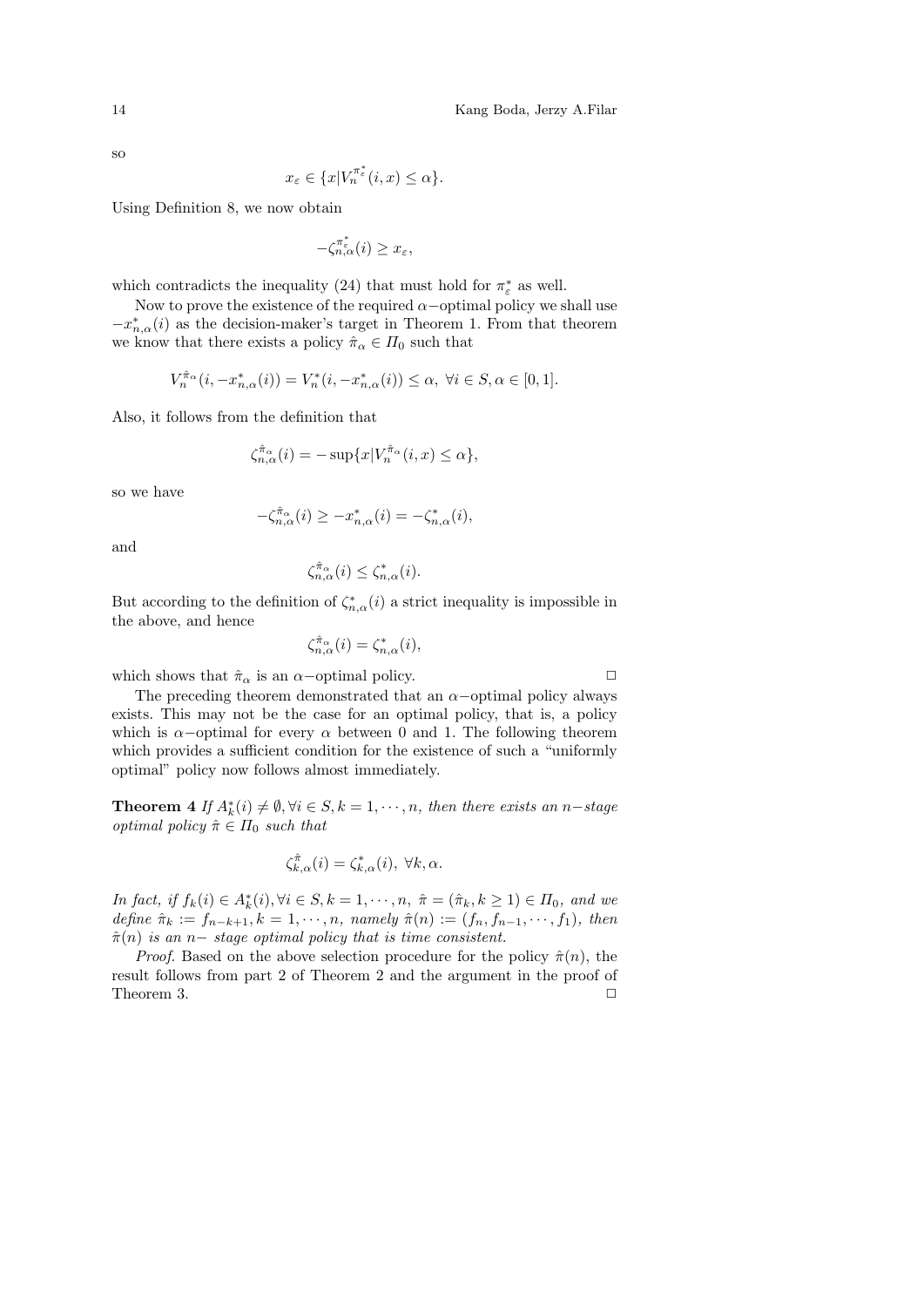so

$$
x_{\varepsilon} \in \{x | V_n^{\pi_{\varepsilon}^*}(i, x) \le \alpha \}.
$$

Using Definition 8, we now obtain

$$
-\zeta^{\pi_\varepsilon^*}_{n,\alpha}(i)\geq x_\varepsilon,
$$

which contradicts the inequality (24) that must hold for  $\pi_{\varepsilon}^{*}$  as well.

Now to prove the existence of the required  $\alpha$ -optimal policy we shall use  $-x_{n,\alpha}^*(i)$  as the decision-maker's target in Theorem 1. From that theorem we know that there exists a policy  $\hat{\pi}_{\alpha} \in \Pi_0$  such that

$$
V_n^{\hat{\pi}_{\alpha}}(i, -x_{n,\alpha}^*(i)) = V_n^*(i, -x_{n,\alpha}^*(i)) \le \alpha, \ \forall i \in S, \alpha \in [0,1].
$$

Also, it follows from the definition that

$$
\zeta_{n,\alpha}^{\hat{\pi}_{\alpha}}(i) = -\sup \{x | V_n^{\hat{\pi}_{\alpha}}(i,x) \le \alpha \},\
$$

so we have

$$
-\zeta_{n,\alpha}^{\hat{\pi}_{\alpha}}(i) \ge -x_{n,\alpha}^*(i) = -\zeta_{n,\alpha}^*(i),
$$

and

$$
\zeta_{n,\alpha}^{\hat{\pi}_{\alpha}}(i) \le \zeta_{n,\alpha}^*(i).
$$

But according to the definition of  $\zeta_{n,\alpha}^*(i)$  a strict inequality is impossible in the above, and hence

$$
\zeta_{n,\alpha}^{\hat{\pi}_{\alpha}}(i) = \zeta_{n,\alpha}^{*}(i),
$$

which shows that  $\hat{\pi}_{\alpha}$  is an  $\alpha$ –optimal policy.  $\Box$ 

The preceding theorem demonstrated that an  $\alpha$ –optimal policy always exists. This may not be the case for an optimal policy, that is, a policy which is  $\alpha$ −optimal for every  $\alpha$  between 0 and 1. The following theorem which provides a sufficient condition for the existence of such a "uniformly optimal" policy now follows almost immediately.

**Theorem 4** If  $A_k^*(i) \neq \emptyset, \forall i \in S, k = 1, \dots, n$ , then there exists an n-stage *optimal policy*  $\hat{\pi} \in \Pi_0$  *such that* 

$$
\zeta_{k,\alpha}^{\hat{\pi}}(i) = \zeta_{k,\alpha}^*(i), \ \forall k, \alpha.
$$

In fact, if  $f_k(i) \in A_k^*(i)$ ,  $\forall i \in S, k = 1, \dots, n$ ,  $\hat{\pi} = (\hat{\pi}_k, k \ge 1) \in \Pi_0$ , and we define  $\hat{\pi}_k := f_{n-k+1}, k = 1, \cdots, n$ , namely  $\hat{\pi}(n) := (f_n, f_{n-1}, \cdots, f_1)$ , then  $\hat{\pi}(n)$  is an n– stage optimal policy that is time consistent.

*Proof.* Based on the above selection procedure for the policy  $\hat{\pi}(n)$ , the result follows from part 2 of Theorem 2 and the argument in the proof of Theorem 3.  $\Box$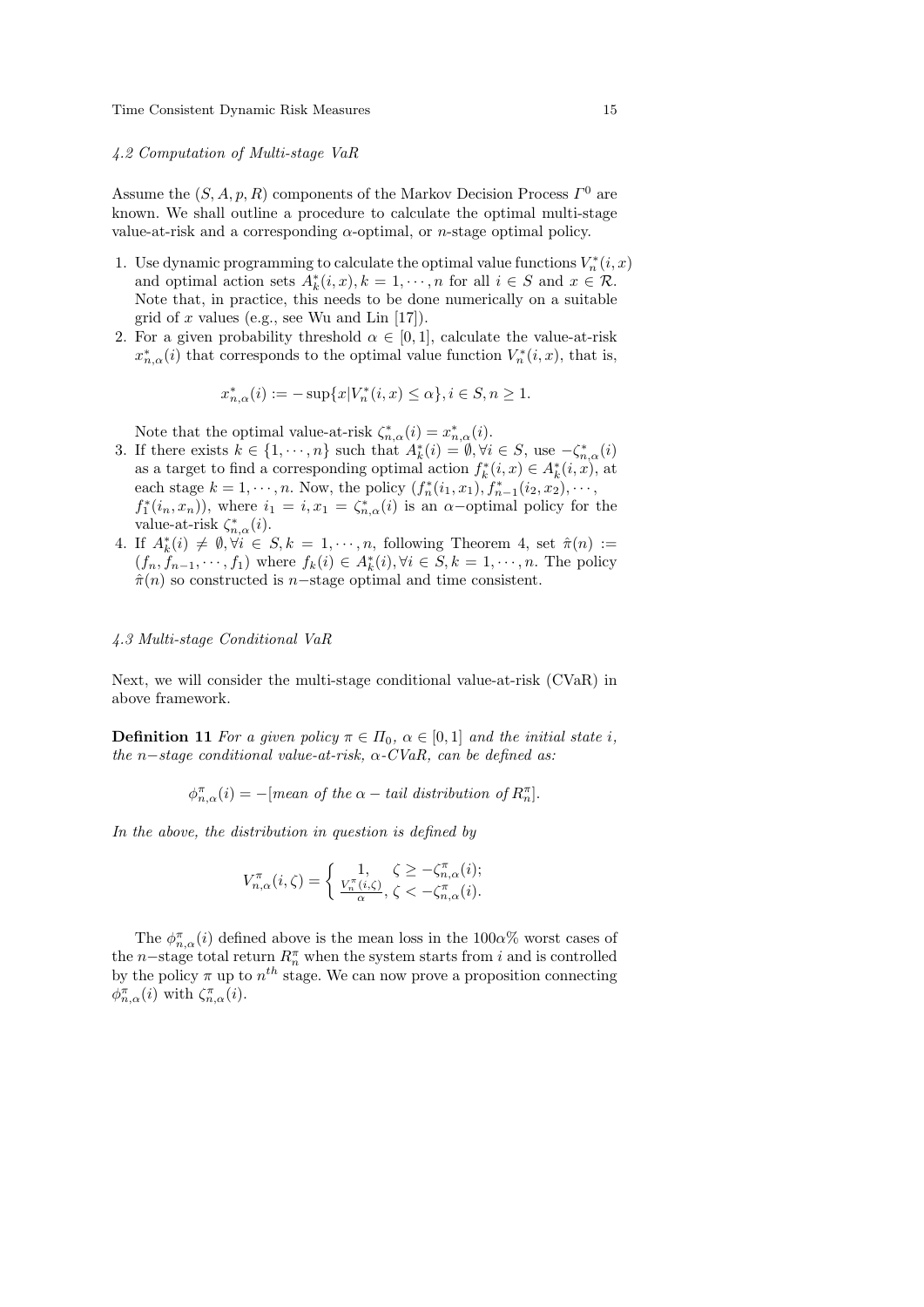#### 4.2 Computation of Multi-stage VaR

Assume the  $(S, A, p, R)$  components of the Markov Decision Process  $\Gamma^0$  are known. We shall outline a procedure to calculate the optimal multi-stage value-at-risk and a corresponding  $\alpha$ -optimal, or *n*-stage optimal policy.

- 1. Use dynamic programming to calculate the optimal value functions  $V_n^*(i, x)$ and optimal action sets  $A_k^*(i, x), k = 1, \dots, n$  for all  $i \in S$  and  $x \in \mathcal{R}$ . Note that, in practice, this needs to be done numerically on a suitable grid of x values (e.g., see Wu and Lin  $[17]$ ).
- 2. For a given probability threshold  $\alpha \in [0,1]$ , calculate the value-at-risk  $x_{n,\alpha}^*(i)$  that corresponds to the optimal value function  $V_n^*(i, x)$ , that is,

$$
x_{n,\alpha}^*(i) := -\sup\{x | V_n^*(i, x) \le \alpha\}, i \in S, n \ge 1.
$$

Note that the optimal value-at-risk  $\zeta_{n,\alpha}^*(i) = x_{n,\alpha}^*(i)$ .

- 3. If there exists  $k \in \{1, \dots, n\}$  such that  $A_k^*(i) = \emptyset, \forall i \in S$ , use  $-\zeta_{n,\alpha}^*(i)$ as a target to find a corresponding optimal action  $f_k^*(i, x) \in A_k^*(i, x)$ , at each stage  $k = 1, \dots, n$ . Now, the policy  $(f_n^*(i_1, x_1), f_{n-1}^*(i_2, x_2), \dots,$  $f_1^*(i_n, x_n)$ , where  $i_1 = i, x_1 = \zeta_{n,\alpha}^*(i)$  is an  $\alpha$ -optimal policy for the value-at-risk  $\zeta_{n,\alpha}^*(i)$ .
- 4. If  $A_k^*(i) \neq \emptyset, \forall i \in S, k = 1, \dots, n$ , following Theorem 4, set  $\hat{\pi}(n) :=$  $(f_n, \hat{f}_{n-1}, \dots, f_1)$  where  $f_k(i) \in A_k^*(i), \forall i \in S, k = 1, \dots, n$ . The policy  $\hat{\pi}(n)$  so constructed is n–stage optimal and time consistent.

#### 4.3 Multi-stage Conditional VaR

Next, we will consider the multi-stage conditional value-at-risk (CVaR) in above framework.

**Definition 11** For a given policy  $\pi \in \Pi_0$ ,  $\alpha \in [0,1]$  and the initial state i, the n-stage conditional value-at-risk,  $\alpha$ -CVaR, can be defined as:

$$
\phi_{n,\alpha}^{\pi}(i) = -\text{[mean of the }\alpha - \text{tail distribution of } R_n^{\pi}].
$$

In the above, the distribution in question is defined by

$$
V^{\pi}_{n,\alpha}(i,\zeta)=\left\{\begin{array}{ll}1,&\zeta\geq-\zeta^\pi_{n,\alpha}(i);\\ \frac{V^{\pi}_n(i,\zeta)}{\alpha},\,\zeta<-\zeta^\pi_{n,\alpha}(i).\end{array}\right.
$$

The  $\phi_{n,\alpha}^{\pi}(i)$  defined above is the mean loss in the 100 $\alpha$ % worst cases of the n–stage total return  $R_n^{\pi}$  when the system starts from i and is controlled by the policy  $\pi$  up to  $n^{th}$  stage. We can now prove a proposition connecting  $\phi_{n,\alpha}^{\pi}(i)$  with  $\zeta_{n,\alpha}^{\pi}(i)$ .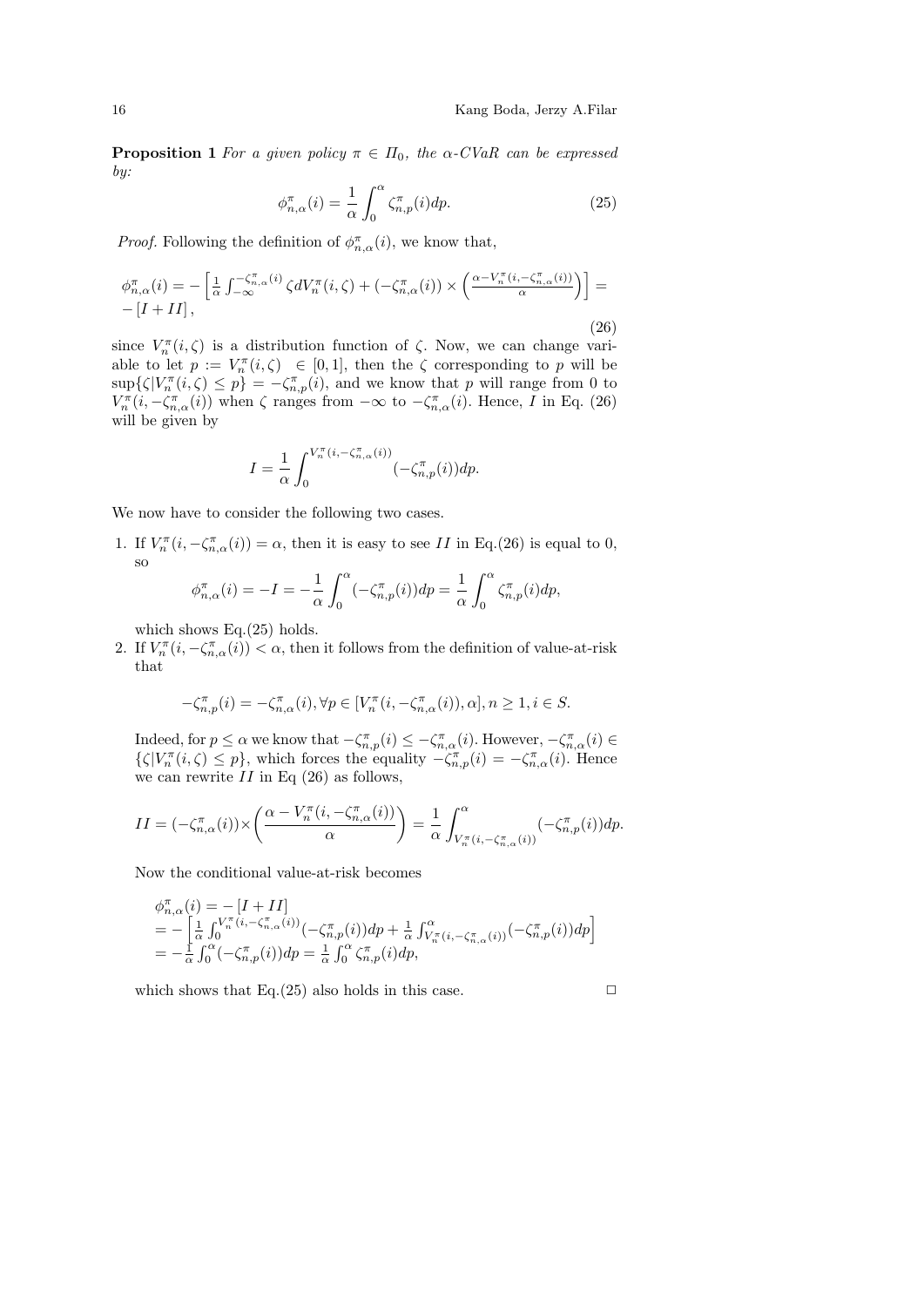**Proposition 1** For a given policy  $\pi \in \Pi_0$ , the  $\alpha$ -CVaR can be expressed by:

$$
\phi_{n,\alpha}^{\pi}(i) = \frac{1}{\alpha} \int_0^{\alpha} \zeta_{n,p}^{\pi}(i) dp.
$$
 (25)

*Proof.* Following the definition of  $\phi_{n,\alpha}^{\pi}(i)$ , we know that,

$$
\phi_{n,\alpha}^{\pi}(i) = -\left[\frac{1}{\alpha} \int_{-\infty}^{-\zeta_{n,\alpha}^{\pi}(i)} \zeta dV_n^{\pi}(i,\zeta) + (-\zeta_{n,\alpha}^{\pi}(i)) \times \left(\frac{\alpha - V_n^{\pi}(i, -\zeta_{n,\alpha}^{\pi}(i))}{\alpha}\right)\right] = -[I + II],
$$
\n(26)

since  $V_n^{\pi}(i,\zeta)$  is a distribution function of  $\zeta$ . Now, we can change variable to let  $p := V_n^{\pi}(i, \zeta) \in [0, 1]$ , then the  $\zeta$  corresponding to p will be  $\sup\{\zeta|V_n^{\pi}(i,\zeta)\leq p\}=-\zeta_{n,p}^{\pi}(i)$ , and we know that p will range from 0 to  $V_n^{\pi}(i, -\zeta_{n,\alpha}^{\pi}(i))$  when  $\zeta$  ranges from  $-\infty$  to  $-\zeta_{n,\alpha}^{\pi}(i)$ . Hence, I in Eq. (26) will be given by

$$
I = \frac{1}{\alpha} \int_0^{V_n^{\pi}(i, -\zeta_{n, \alpha}^{\pi}(i))} (-\zeta_{n, p}^{\pi}(i)) dp.
$$

We now have to consider the following two cases.

1. If  $V_n^{\pi}(i, -\zeta_{n,\alpha}^{\pi}(i)) = \alpha$ , then it is easy to see II in Eq.(26) is equal to 0, so

$$
\phi_{n,\alpha}^{\pi}(i) = -I = -\frac{1}{\alpha} \int_0^{\alpha} (-\zeta_{n,p}^{\pi}(i)) dp = \frac{1}{\alpha} \int_0^{\alpha} \zeta_{n,p}^{\pi}(i) dp,
$$

which shows Eq.(25) holds.

2. If  $V_n^{\pi}(i, -\zeta_{n,\alpha}^{\pi}(i)) < \alpha$ , then it follows from the definition of value-at-risk that

$$
-\zeta_{n,p}^{\pi}(i) = -\zeta_{n,\alpha}^{\pi}(i), \forall p \in [V_n^{\pi}(i, -\zeta_{n,\alpha}^{\pi}(i)), \alpha], n \ge 1, i \in S.
$$

Indeed, for  $p \le \alpha$  we know that  $-\zeta_{n,p}^{\pi}(i) \le -\zeta_{n,\alpha}^{\pi}(i)$ . However,  $-\zeta_{n,\alpha}^{\pi}(i) \in$  $\{\zeta|V_n^{\pi}(i,\zeta)\leq p\}$ , which forces the equality  $-\zeta_{n,p}^{\pi}(i)=-\zeta_{n,\alpha}^{\pi}(i)$ . Hence we can rewrite  $II$  in Eq  $(26)$  as follows,

$$
II = (-\zeta_{n,\alpha}^{\pi}(i)) \times \left(\frac{\alpha - V_n^{\pi}(i, -\zeta_{n,\alpha}^{\pi}(i))}{\alpha}\right) = \frac{1}{\alpha} \int_{V_n^{\pi}(i, -\zeta_{n,\alpha}^{\pi}(i))}^{\alpha} (-\zeta_{n,p}^{\pi}(i)) dp.
$$

Now the conditional value-at-risk becomes

$$
\begin{array}{l}\n\phi_{n,\alpha}^{\pi}(i) = -[I + II] \\
= -\left[\frac{1}{\alpha} \int_{0}^{V_{n}^{\pi}(i, -\zeta_{n,\alpha}^{\pi}(i))} (-\zeta_{n,p}^{\pi}(i)) dp + \frac{1}{\alpha} \int_{V_{n}^{\pi}(i, -\zeta_{n,\alpha}^{\pi}(i))}^{0} (-\zeta_{n,p}^{\pi}(i)) dp\right] \\
= -\frac{1}{\alpha} \int_{0}^{\alpha} (-\zeta_{n,p}^{\pi}(i)) dp = \frac{1}{\alpha} \int_{0}^{\alpha} \zeta_{n,p}^{\pi}(i) dp,\n\end{array}
$$

which shows that Eq.(25) also holds in this case.  $\Box$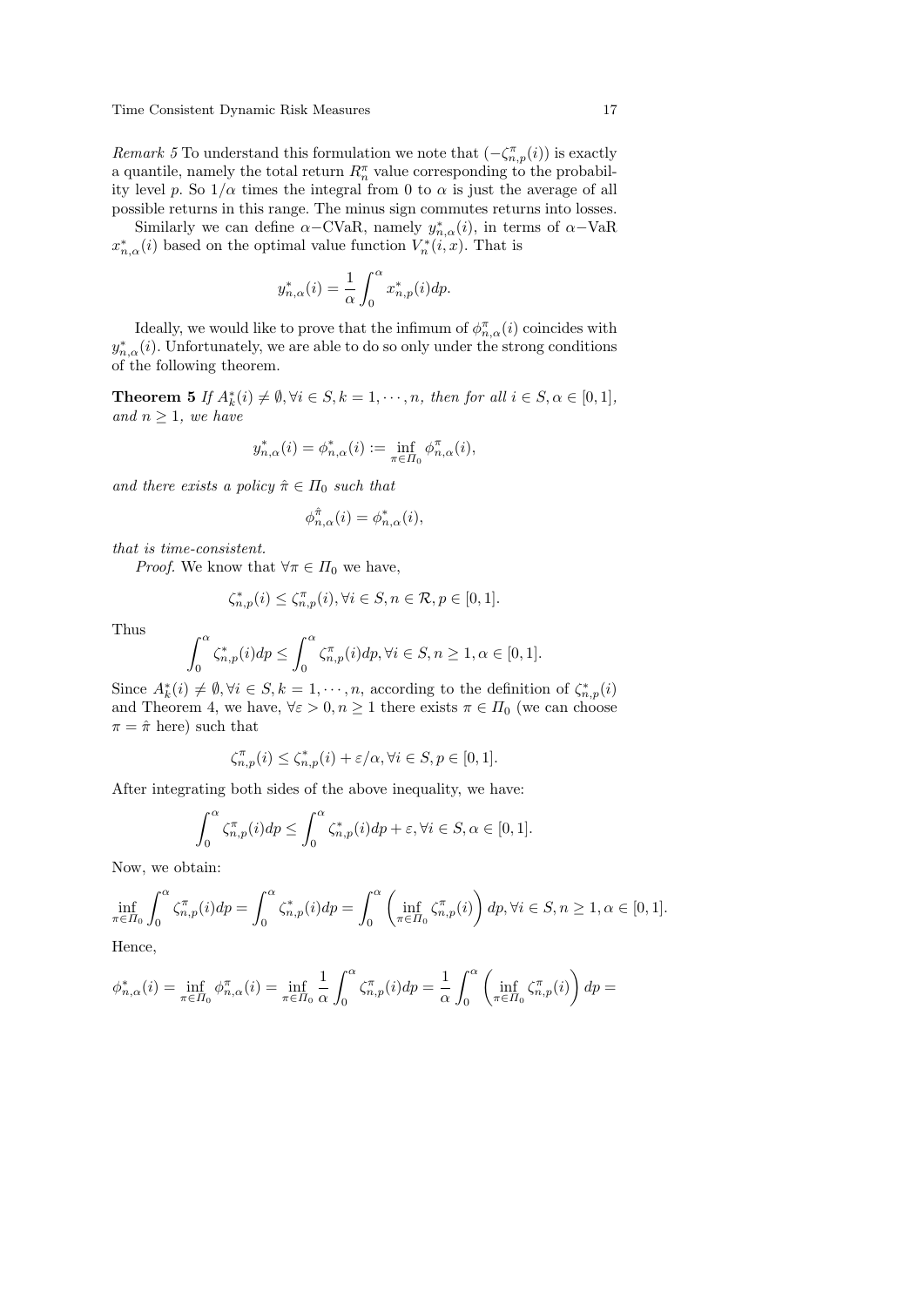*Remark 5* To understand this formulation we note that  $(-\zeta_{n,p}^{\pi}(i))$  is exactly a quantile, namely the total return  $R_n^{\pi}$  value corresponding to the probability level p. So  $1/\alpha$  times the integral from 0 to  $\alpha$  is just the average of all possible returns in this range. The minus sign commutes returns into losses.

Similarly we can define  $\alpha$ -CVaR, namely  $y_{n,\alpha}^*(i)$ , in terms of  $\alpha$ -VaR  $x_{n,\alpha}^*(i)$  based on the optimal value function  $V_n^*(i, x)$ . That is

$$
y_{n,\alpha}^*(i) = \frac{1}{\alpha} \int_0^{\alpha} x_{n,p}^*(i) dp.
$$

Ideally, we would like to prove that the infimum of  $\phi_{n,\alpha}^{\pi}(i)$  coincides with  $y_{n,\alpha}^*(i)$ . Unfortunately, we are able to do so only under the strong conditions of the following theorem.

**Theorem 5** If  $A_k^*(i) \neq \emptyset, \forall i \in S, k = 1, \dots, n$ , then for all  $i \in S, \alpha \in [0, 1]$ , and  $n \geq 1$ , we have

$$
y_{n,\alpha}^*(i) = \phi_{n,\alpha}^*(i) := \inf_{\pi \in \Pi_0} \phi_{n,\alpha}^{\pi}(i),
$$

and there exists a policy  $\hat{\pi} \in \Pi_0$  such that

$$
\phi_{n,\alpha}^{\hat{\pi}}(i) = \phi_{n,\alpha}^*(i),
$$

that is time-consistent.

*Proof.* We know that  $\forall \pi \in \Pi_0$  we have,

$$
\zeta_{n,p}^*(i) \le \zeta_{n,p}^{\pi}(i), \forall i \in S, n \in \mathcal{R}, p \in [0,1].
$$

Thus

$$
\int_0^{\alpha} \zeta_{n,p}^*(i) dp \le \int_0^{\alpha} \zeta_{n,p}^{\pi}(i) dp, \forall i \in S, n \ge 1, \alpha \in [0,1].
$$

Since  $A_k^*(i) \neq \emptyset, \forall i \in S, k = 1, \dots, n$ , according to the definition of  $\zeta_{n,p}^*(i)$ and Theorem 4, we have,  $\forall \varepsilon > 0, n \ge 1$  there exists  $\pi \in \Pi_0$  (we can choose  $\pi = \hat{\pi}$  here) such that

$$
\zeta_{n,p}^{\pi}(i) \le \zeta_{n,p}^*(i) + \varepsilon/\alpha, \forall i \in S, p \in [0,1].
$$

After integrating both sides of the above inequality, we have:

$$
\int_0^{\alpha} \zeta_{n,p}^{\pi}(i) dp \le \int_0^{\alpha} \zeta_{n,p}^*(i) dp + \varepsilon, \forall i \in S, \alpha \in [0,1].
$$

Now, we obtain:

$$
\inf_{\pi \in \Pi_0} \int_0^{\alpha} \zeta_{n,p}^{\pi}(i) dp = \int_0^{\alpha} \zeta_{n,p}^*(i) dp = \int_0^{\alpha} \left( \inf_{\pi \in \Pi_0} \zeta_{n,p}^{\pi}(i) \right) dp, \forall i \in S, n \ge 1, \alpha \in [0,1].
$$

Hence,

$$
\phi_{n,\alpha}^*(i) = \inf_{\pi \in \Pi_0} \phi_{n,\alpha}^{\pi}(i) = \inf_{\pi \in \Pi_0} \frac{1}{\alpha} \int_0^{\alpha} \zeta_{n,p}^{\pi}(i) dp = \frac{1}{\alpha} \int_0^{\alpha} \left( \inf_{\pi \in \Pi_0} \zeta_{n,p}^{\pi}(i) \right) dp =
$$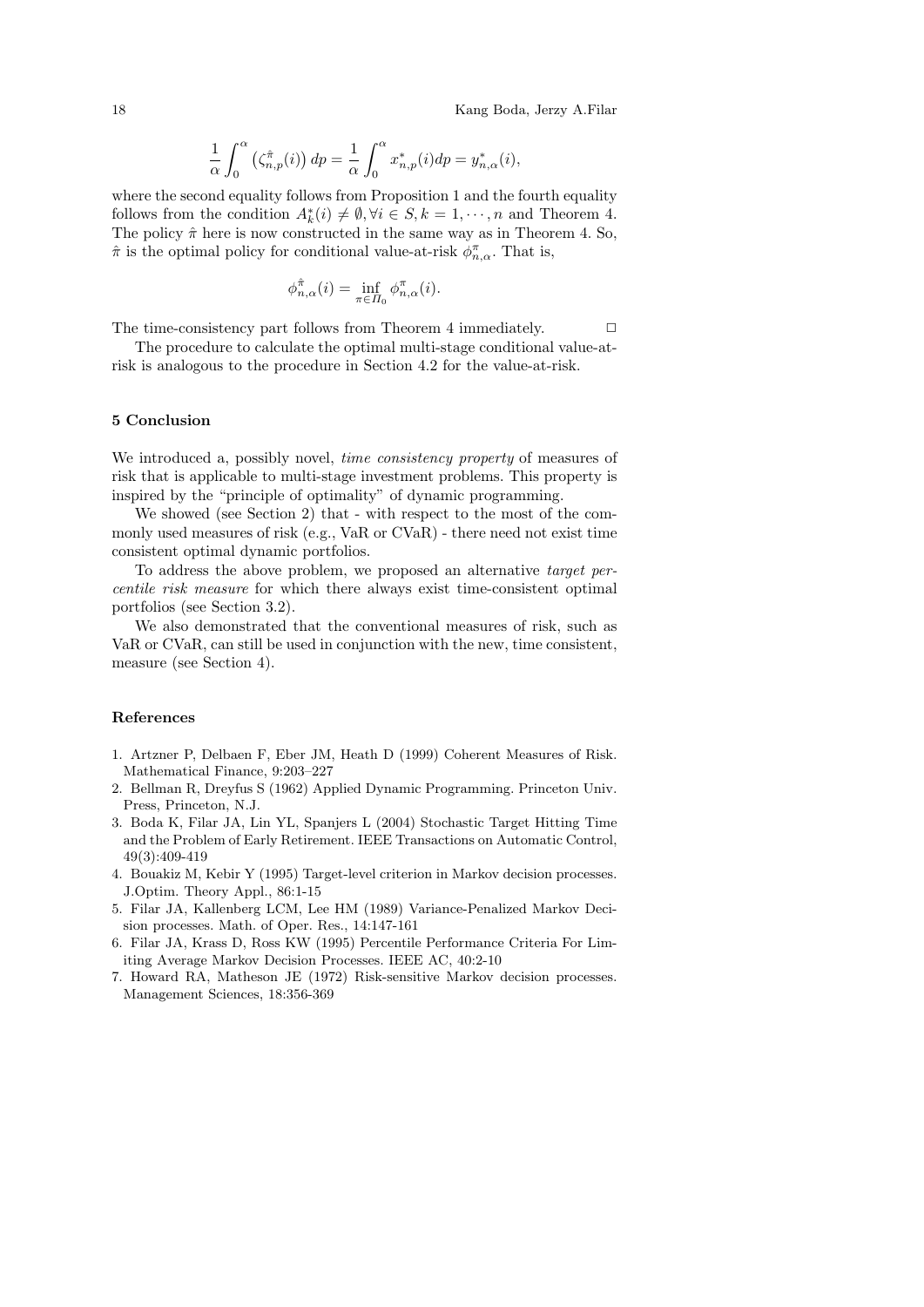$$
\frac{1}{\alpha} \int_0^{\alpha} \left( \zeta_{n,p}^{\hat{\pi}}(i) \right) dp = \frac{1}{\alpha} \int_0^{\alpha} x_{n,p}^*(i) dp = y_{n,\alpha}^*(i),
$$

where the second equality follows from Proposition 1 and the fourth equality follows from the condition  $A_k^*(i) \neq \emptyset, \forall i \in S, k = 1, \dots, n$  and Theorem 4. The policy  $\hat{\pi}$  here is now constructed in the same way as in Theorem 4. So,  $\hat{\pi}$  is the optimal policy for conditional value-at-risk  $\phi_{n,\alpha}^{\pi}$ . That is,

$$
\phi_{n,\alpha}^{\hat{\pi}}(i) = \inf_{\pi \in \Pi_0} \phi_{n,\alpha}^{\pi}(i).
$$

The time-consistency part follows from Theorem 4 immediately.  $\Box$ 

The procedure to calculate the optimal multi-stage conditional value-atrisk is analogous to the procedure in Section 4.2 for the value-at-risk.

#### 5 Conclusion

We introduced a, possibly novel, *time consistency property* of measures of risk that is applicable to multi-stage investment problems. This property is inspired by the "principle of optimality" of dynamic programming.

We showed (see Section 2) that - with respect to the most of the commonly used measures of risk (e.g., VaR or CVaR) - there need not exist time consistent optimal dynamic portfolios.

To address the above problem, we proposed an alternative target percentile risk measure for which there always exist time-consistent optimal portfolios (see Section 3.2).

We also demonstrated that the conventional measures of risk, such as VaR or CVaR, can still be used in conjunction with the new, time consistent, measure (see Section 4).

#### References

- 1. Artzner P, Delbaen F, Eber JM, Heath D (1999) Coherent Measures of Risk. Mathematical Finance, 9:203–227
- 2. Bellman R, Dreyfus S (1962) Applied Dynamic Programming. Princeton Univ. Press, Princeton, N.J.
- 3. Boda K, Filar JA, Lin YL, Spanjers L (2004) Stochastic Target Hitting Time and the Problem of Early Retirement. IEEE Transactions on Automatic Control, 49(3):409-419
- 4. Bouakiz M, Kebir Y (1995) Target-level criterion in Markov decision processes. J.Optim. Theory Appl., 86:1-15
- 5. Filar JA, Kallenberg LCM, Lee HM (1989) Variance-Penalized Markov Decision processes. Math. of Oper. Res., 14:147-161
- 6. Filar JA, Krass D, Ross KW (1995) Percentile Performance Criteria For Limiting Average Markov Decision Processes. IEEE AC, 40:2-10
- 7. Howard RA, Matheson JE (1972) Risk-sensitive Markov decision processes. Management Sciences, 18:356-369